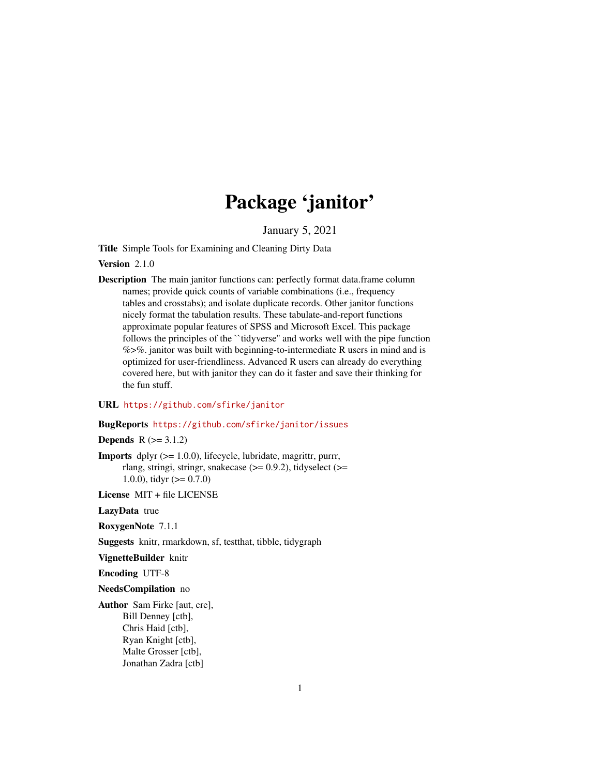# Package 'janitor'

January 5, 2021

<span id="page-0-0"></span>Title Simple Tools for Examining and Cleaning Dirty Data

Version 2.1.0

Description The main janitor functions can: perfectly format data.frame column names; provide quick counts of variable combinations (i.e., frequency tables and crosstabs); and isolate duplicate records. Other janitor functions nicely format the tabulation results. These tabulate-and-report functions approximate popular features of SPSS and Microsoft Excel. This package follows the principles of the ``tidyverse'' and works well with the pipe function %>%. janitor was built with beginning-to-intermediate R users in mind and is optimized for user-friendliness. Advanced R users can already do everything covered here, but with janitor they can do it faster and save their thinking for the fun stuff.

## URL <https://github.com/sfirke/janitor>

#### BugReports <https://github.com/sfirke/janitor/issues>

## **Depends**  $R (= 3.1.2)$

Imports dplyr (>= 1.0.0), lifecycle, lubridate, magrittr, purrr, rlang, stringi, stringr, snakecase  $(>= 0.9.2)$ , tidyselect  $(>=$ 1.0.0), tidyr  $(>= 0.7.0)$ 

License MIT + file LICENSE

LazyData true

RoxygenNote 7.1.1

Suggests knitr, rmarkdown, sf, testthat, tibble, tidygraph

VignetteBuilder knitr

Encoding UTF-8

NeedsCompilation no

Author Sam Firke [aut, cre], Bill Denney [ctb], Chris Haid [ctb], Ryan Knight [ctb], Malte Grosser [ctb], Jonathan Zadra [ctb]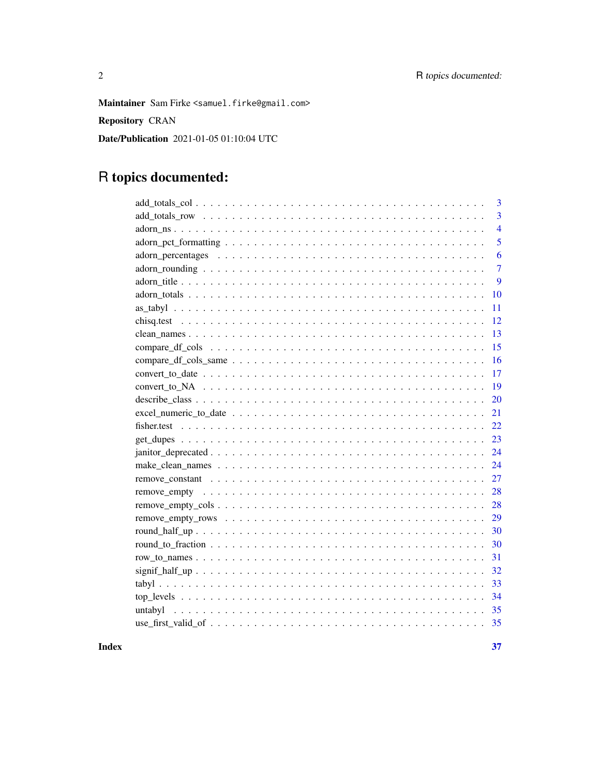Maintainer Sam Firke <samuel.firke@gmail.com>

Repository CRAN

Date/Publication 2021-01-05 01:10:04 UTC

## R topics documented:

| 3                                                                                                                         |
|---------------------------------------------------------------------------------------------------------------------------|
| $\overline{3}$                                                                                                            |
| $\overline{4}$                                                                                                            |
| 5                                                                                                                         |
| 6                                                                                                                         |
| $\overline{7}$                                                                                                            |
| 9                                                                                                                         |
| 10                                                                                                                        |
| 11                                                                                                                        |
| 12                                                                                                                        |
| 13                                                                                                                        |
| 15                                                                                                                        |
| 16                                                                                                                        |
| 17<br>$convert\_to\_date \dots \dots \dots \dots \dots \dots \dots \dots \dots \dots \dots \dots \dots \dots \dots \dots$ |
| 19                                                                                                                        |
| 20                                                                                                                        |
| 21                                                                                                                        |
| 22                                                                                                                        |
| 23                                                                                                                        |
| 24                                                                                                                        |
| 24                                                                                                                        |
| 27                                                                                                                        |
| 28                                                                                                                        |
| 28<br>$remove\_empty\_cols \ldots \ldots \ldots \ldots \ldots \ldots \ldots \ldots \ldots \ldots \ldots$                  |
| 29                                                                                                                        |
| 30                                                                                                                        |
| 30                                                                                                                        |
| 31                                                                                                                        |
| 32                                                                                                                        |
| 33                                                                                                                        |
| 34                                                                                                                        |
| 35<br>untabyl                                                                                                             |
|                                                                                                                           |
|                                                                                                                           |

**Index**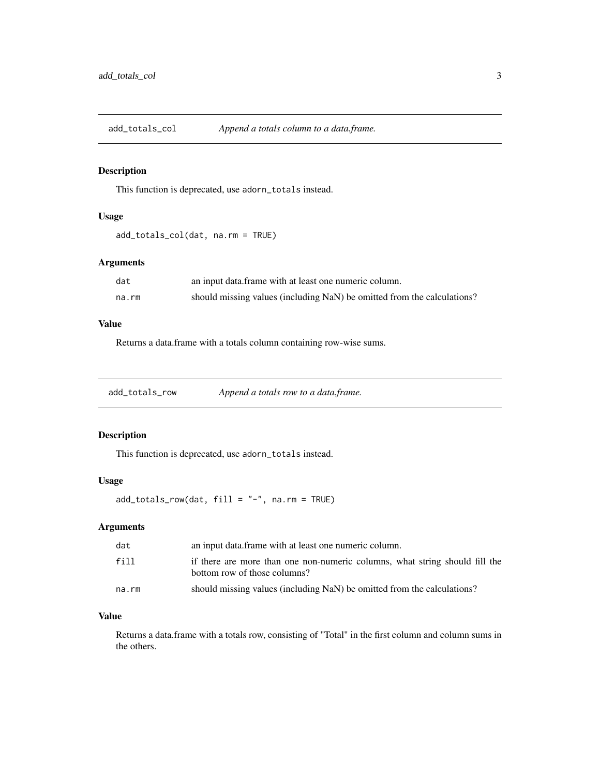<span id="page-2-1"></span><span id="page-2-0"></span>add\_totals\_col *Append a totals column to a data.frame.*

## Description

This function is deprecated, use adorn\_totals instead.

## Usage

add\_totals\_col(dat, na.rm = TRUE)

## Arguments

| dat   | an input data frame with at least one numeric column.                   |
|-------|-------------------------------------------------------------------------|
| na.rm | should missing values (including NaN) be omitted from the calculations? |

## Value

Returns a data.frame with a totals column containing row-wise sums.

<span id="page-2-2"></span>add\_totals\_row *Append a totals row to a data.frame.*

## Description

This function is deprecated, use adorn\_totals instead.

## Usage

add\_totals\_row(dat, fill = "-", na.rm = TRUE)

## Arguments

| dat   | an input data frame with at least one numeric column.                                                       |
|-------|-------------------------------------------------------------------------------------------------------------|
| fill  | if there are more than one non-numeric columns, what string should fill the<br>bottom row of those columns? |
| na.rm | should missing values (including NaN) be omitted from the calculations?                                     |

## Value

Returns a data.frame with a totals row, consisting of "Total" in the first column and column sums in the others.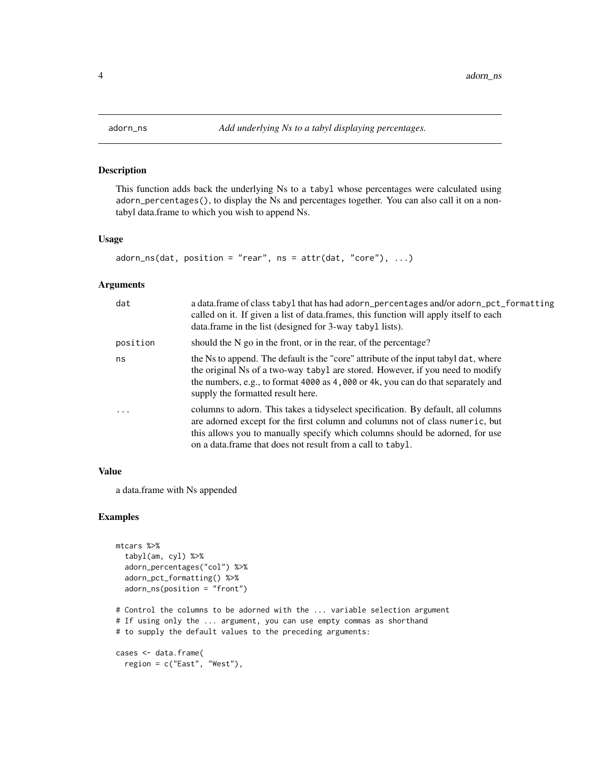<span id="page-3-0"></span>

This function adds back the underlying Ns to a tabyl whose percentages were calculated using adorn\_percentages(), to display the Ns and percentages together. You can also call it on a nontabyl data.frame to which you wish to append Ns.

#### Usage

```
adorn_ns(data, position = "rear", ns = attr(data, "core"), ...)
```
## Arguments

| dat      | a data.frame of class tabyl that has had adorn_percentages and/or adorn_pct_formatting<br>called on it. If given a list of data.frames, this function will apply itself to each<br>data.frame in the list (designed for 3-way tabyl lists).                                                                      |
|----------|------------------------------------------------------------------------------------------------------------------------------------------------------------------------------------------------------------------------------------------------------------------------------------------------------------------|
| position | should the N go in the front, or in the rear, of the percentage?                                                                                                                                                                                                                                                 |
| ns       | the Ns to append. The default is the "core" attribute of the input tabyl dat, where<br>the original Ns of a two-way tabyl are stored. However, if you need to modify<br>the numbers, e.g., to format 4000 as 4,000 or 4k, you can do that separately and<br>supply the formatted result here.                    |
| .        | columns to adorn. This takes a tidyselect specification. By default, all columns<br>are adorned except for the first column and columns not of class numeric, but<br>this allows you to manually specify which columns should be adorned, for use<br>on a data. frame that does not result from a call to tabyl. |

## Value

a data.frame with Ns appended

```
mtcars %>%
  tabyl(am, cyl) %>%
  adorn_percentages("col") %>%
  adorn_pct_formatting() %>%
  adorn_ns(position = "front")
# Control the columns to be adorned with the ... variable selection argument
# If using only the ... argument, you can use empty commas as shorthand
# to supply the default values to the preceding arguments:
cases <- data.frame(
  region = c("East", "West"),
```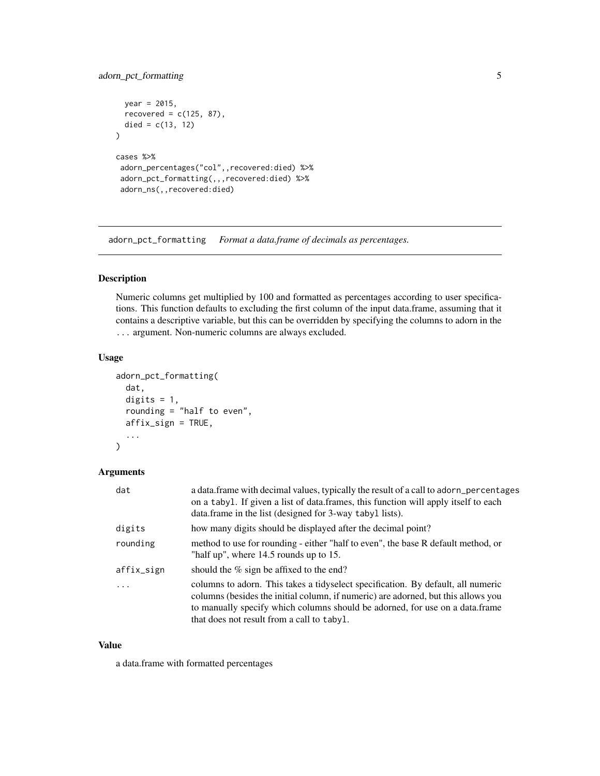## <span id="page-4-0"></span>adorn\_pct\_formatting 5

```
year = 2015,recovered = c(125, 87),
 died = c(13, 12))
cases %>%
adorn_percentages("col",,recovered:died) %>%
adorn_pct_formatting(,,,recovered:died) %>%
adorn_ns(,,recovered:died)
```
adorn\_pct\_formatting *Format a data.frame of decimals as percentages.*

#### Description

Numeric columns get multiplied by 100 and formatted as percentages according to user specifications. This function defaults to excluding the first column of the input data.frame, assuming that it contains a descriptive variable, but this can be overridden by specifying the columns to adorn in the ... argument. Non-numeric columns are always excluded.

#### Usage

```
adorn_pct_formatting(
  dat,
 digits = 1,
  rounding = "half to even",
 affix_sign = TRUE,
  ...
)
```
#### Arguments

| dat        | a data.frame with decimal values, typically the result of a call to adorn_percentages<br>on a tabyl. If given a list of data frames, this function will apply itself to each<br>data.frame in the list (designed for 3-way tabyl lists).                                                            |
|------------|-----------------------------------------------------------------------------------------------------------------------------------------------------------------------------------------------------------------------------------------------------------------------------------------------------|
| digits     | how many digits should be displayed after the decimal point?                                                                                                                                                                                                                                        |
| rounding   | method to use for rounding - either "half to even", the base R default method, or<br>"half up", where 14.5 rounds up to 15.                                                                                                                                                                         |
| affix_sign | should the % sign be affixed to the end?                                                                                                                                                                                                                                                            |
| $\cdot$    | columns to adorn. This takes a tidyselect specification. By default, all numeric<br>columns (besides the initial column, if numeric) are adorned, but this allows you<br>to manually specify which columns should be adorned, for use on a data.frame<br>that does not result from a call to tabyl. |

## Value

a data.frame with formatted percentages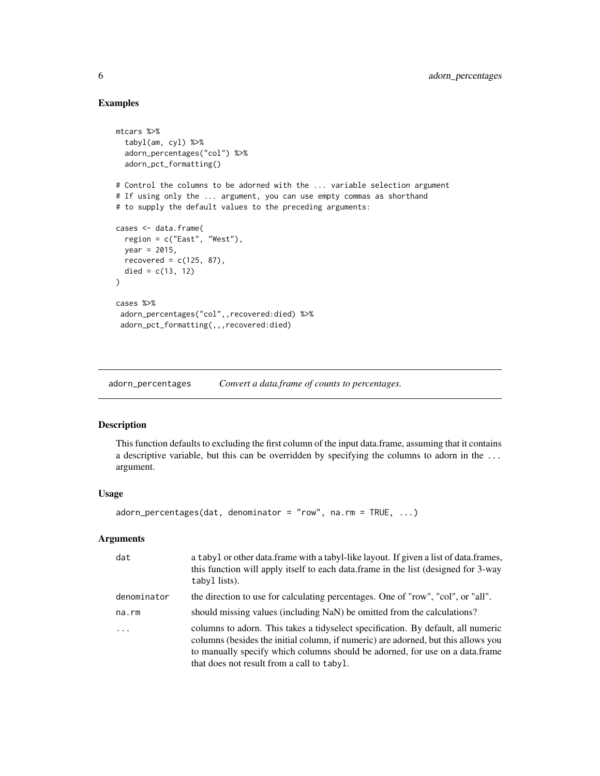## Examples

```
mtcars %>%
  tabyl(am, cyl) %>%
  adorn_percentages("col") %>%
  adorn_pct_formatting()
# Control the columns to be adorned with the ... variable selection argument
# If using only the ... argument, you can use empty commas as shorthand
# to supply the default values to the preceding arguments:
cases <- data.frame(
  region = c("East", "West"),
 year = 2015,
  recovered = c(125, 87),
  died = c(13, 12)\lambdacases %>%
 adorn_percentages("col",,recovered:died) %>%
 adorn_pct_formatting(,,,recovered:died)
```
adorn\_percentages *Convert a data.frame of counts to percentages.*

## Description

This function defaults to excluding the first column of the input data.frame, assuming that it contains a descriptive variable, but this can be overridden by specifying the columns to adorn in the ... argument.

#### Usage

```
adorn_percentages(dat, denominator = "row", na.rm = TRUE, ...)
```
## Arguments

| dat         | a tabyl or other data. frame with a tabyl-like layout. If given a list of data. frames,<br>this function will apply itself to each data frame in the list (designed for 3-way<br>tabyl lists).                                                                                                      |
|-------------|-----------------------------------------------------------------------------------------------------------------------------------------------------------------------------------------------------------------------------------------------------------------------------------------------------|
| denominator | the direction to use for calculating percentages. One of "row", "col", or "all".                                                                                                                                                                                                                    |
| na.rm       | should missing values (including NaN) be omitted from the calculations?                                                                                                                                                                                                                             |
| $\ddots$    | columns to adorn. This takes a tidyselect specification. By default, all numeric<br>columns (besides the initial column, if numeric) are adorned, but this allows you<br>to manually specify which columns should be adorned, for use on a data.frame<br>that does not result from a call to tabyl. |

<span id="page-5-0"></span>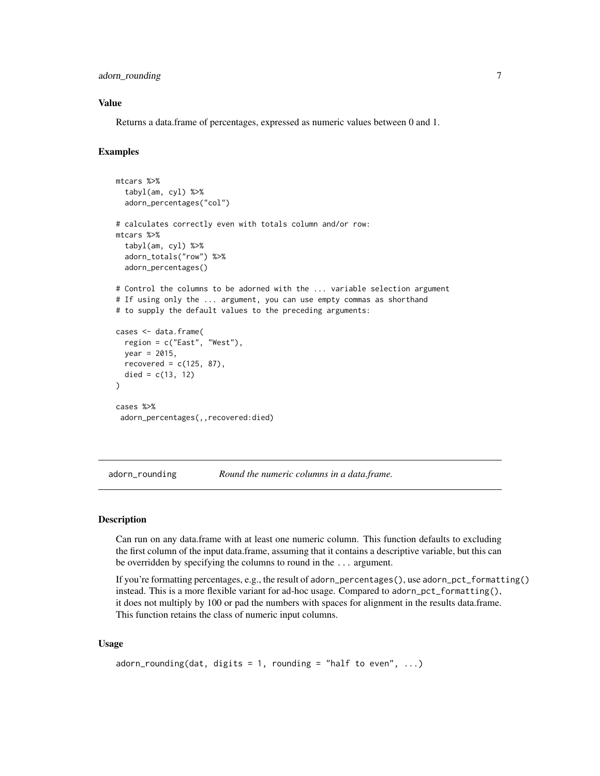<span id="page-6-0"></span>adorn\_rounding 7

## Value

Returns a data.frame of percentages, expressed as numeric values between 0 and 1.

#### Examples

```
mtcars %>%
 tabyl(am, cyl) %>%
 adorn_percentages("col")
# calculates correctly even with totals column and/or row:
mtcars %>%
 tabyl(am, cyl) %>%
 adorn_totals("row") %>%
 adorn_percentages()
# Control the columns to be adorned with the ... variable selection argument
# If using only the ... argument, you can use empty commas as shorthand
# to supply the default values to the preceding arguments:
cases <- data.frame(
 region = c("East", "West"),
 year = 2015,
 recovered = c(125, 87),
 died = c(13, 12))
cases %>%
adorn_percentages(,,recovered:died)
```
adorn\_rounding *Round the numeric columns in a data.frame.*

#### Description

Can run on any data.frame with at least one numeric column. This function defaults to excluding the first column of the input data.frame, assuming that it contains a descriptive variable, but this can be overridden by specifying the columns to round in the ... argument.

If you're formatting percentages, e.g., the result of adorn\_percentages(), use adorn\_pct\_formatting() instead. This is a more flexible variant for ad-hoc usage. Compared to adorn\_pct\_formatting(), it does not multiply by 100 or pad the numbers with spaces for alignment in the results data.frame. This function retains the class of numeric input columns.

#### Usage

```
adorn_rounding(dat, digits = 1, rounding = "half to even", \dots)
```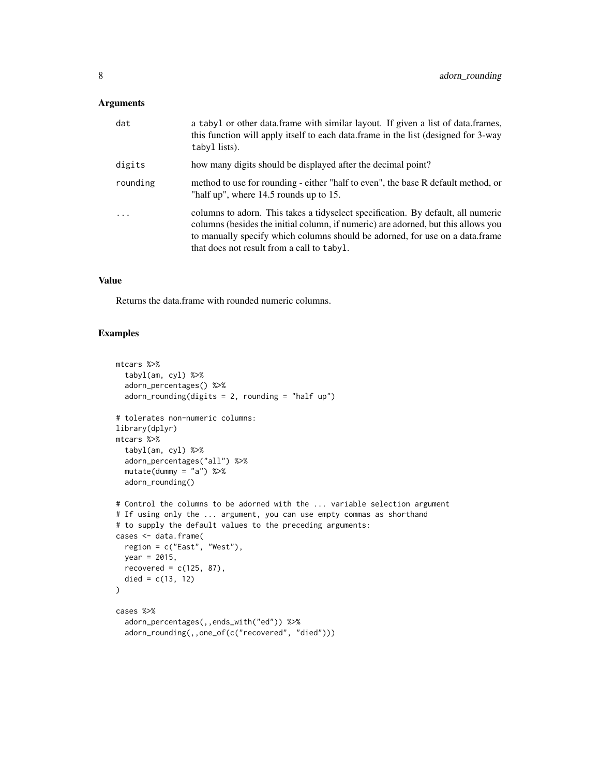## Arguments

| dat      | a tabyl or other data.frame with similar layout. If given a list of data.frames,<br>this function will apply itself to each data.frame in the list (designed for 3-way<br>tabyl lists).                                                                                                             |
|----------|-----------------------------------------------------------------------------------------------------------------------------------------------------------------------------------------------------------------------------------------------------------------------------------------------------|
| digits   | how many digits should be displayed after the decimal point?                                                                                                                                                                                                                                        |
| rounding | method to use for rounding - either "half to even", the base R default method, or<br>"half up", where $14.5$ rounds up to 15.                                                                                                                                                                       |
| .        | columns to adorn. This takes a tidyselect specification. By default, all numeric<br>columns (besides the initial column, if numeric) are adorned, but this allows you<br>to manually specify which columns should be adorned, for use on a data.frame<br>that does not result from a call to tabyl. |

## Value

Returns the data.frame with rounded numeric columns.

```
mtcars %>%
  tabyl(am, cyl) %>%
  adorn_percentages() %>%
  adorn_rounding(digits = 2, rounding = "half up")
# tolerates non-numeric columns:
library(dplyr)
mtcars %>%
  tabyl(am, cyl) %>%
  adorn_percentages("all") %>%
  mutate(dummy = "a") %>>adorn_rounding()
# Control the columns to be adorned with the ... variable selection argument
# If using only the ... argument, you can use empty commas as shorthand
# to supply the default values to the preceding arguments:
cases <- data.frame(
  region = c("East", "West"),
  year = 2015,
  recovered = c(125, 87),
  died = c(13, 12)\mathcal{L}cases %>%
  adorn_percentages(,,ends_with("ed")) %>%
  adorn_rounding(,,one_of(c("recovered", "died")))
```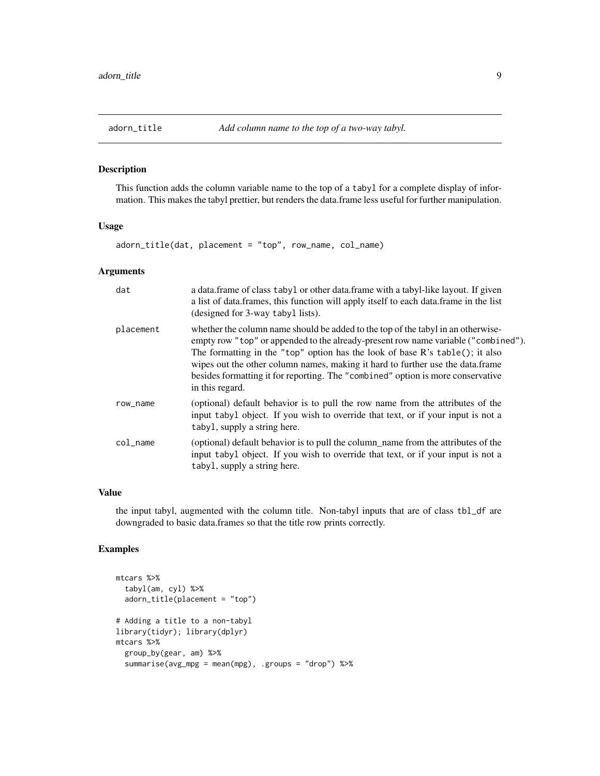<span id="page-8-0"></span>

This function adds the column variable name to the top of a tabyl for a complete display of information. This makes the tabyl prettier, but renders the data.frame less useful for further manipulation.

## Usage

adorn\_title(dat, placement = "top", row\_name, col\_name)

#### Arguments

| dat       | a data. frame of class tabyl or other data. frame with a tabyl-like layout. If given<br>a list of data.frames, this function will apply itself to each data.frame in the list<br>(designed for 3-way tabyl lists).                                                                                                                                                                                                                                |
|-----------|---------------------------------------------------------------------------------------------------------------------------------------------------------------------------------------------------------------------------------------------------------------------------------------------------------------------------------------------------------------------------------------------------------------------------------------------------|
| placement | whether the column name should be added to the top of the tabyl in an otherwise-<br>empty row "top" or appended to the already-present row name variable ("combined").<br>The formatting in the "top" option has the look of base $R$ 's table(); it also<br>wipes out the other column names, making it hard to further use the data.frame<br>besides formatting it for reporting. The "combined" option is more conservative<br>in this regard. |
| row_name  | (optional) default behavior is to pull the row name from the attributes of the<br>input tabyl object. If you wish to override that text, or if your input is not a<br>tabyl, supply a string here.                                                                                                                                                                                                                                                |
| col_name  | (optional) default behavior is to pull the column_name from the attributes of the<br>input tabyl object. If you wish to override that text, or if your input is not a<br>tabyl, supply a string here.                                                                                                                                                                                                                                             |

## Value

the input tabyl, augmented with the column title. Non-tabyl inputs that are of class tbl\_df are downgraded to basic data.frames so that the title row prints correctly.

```
mtcars %>%
  tabyl(am, cyl) %>%
  adorn_title(placement = "top")
# Adding a title to a non-tabyl
library(tidyr); library(dplyr)
mtcars %>%
  group_by(gear, am) %>%
  summarise(avg_mpg = mean(mpg), .groups = "drop") %>%
```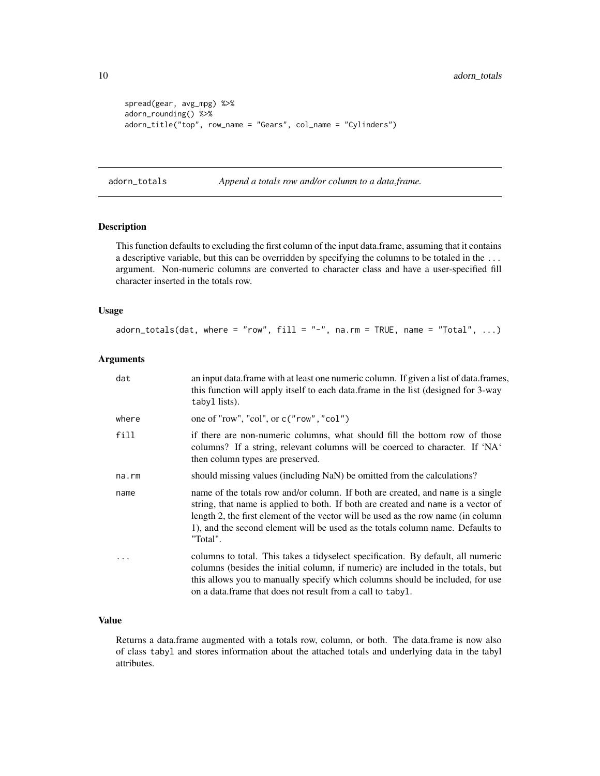```
spread(gear, avg_mpg) %>%
adorn_rounding() %>%
adorn_title("top", row_name = "Gears", col_name = "Cylinders")
```
adorn\_totals *Append a totals row and/or column to a data.frame.*

#### Description

This function defaults to excluding the first column of the input data.frame, assuming that it contains a descriptive variable, but this can be overridden by specifying the columns to be totaled in the ... argument. Non-numeric columns are converted to character class and have a user-specified fill character inserted in the totals row.

#### Usage

adorn\_totals(dat, where = "row", fill = "-", na.rm = TRUE, name = "Total",  $\dots$ )

#### Arguments

| dat      | an input data. frame with at least one numeric column. If given a list of data. frames,<br>this function will apply itself to each data.frame in the list (designed for 3-way<br>tabyl lists).                                                                                                                                                          |
|----------|---------------------------------------------------------------------------------------------------------------------------------------------------------------------------------------------------------------------------------------------------------------------------------------------------------------------------------------------------------|
| where    | one of "row", "col", or $c("row", "col")$                                                                                                                                                                                                                                                                                                               |
| fill     | if there are non-numeric columns, what should fill the bottom row of those<br>columns? If a string, relevant columns will be coerced to character. If 'NA'<br>then column types are preserved.                                                                                                                                                          |
| na.rm    | should missing values (including NaN) be omitted from the calculations?                                                                                                                                                                                                                                                                                 |
| name     | name of the totals row and/or column. If both are created, and name is a single<br>string, that name is applied to both. If both are created and name is a vector of<br>length 2, the first element of the vector will be used as the row name (in column<br>1), and the second element will be used as the totals column name. Defaults to<br>"Total". |
| $\cdots$ | columns to total. This takes a tidyselect specification. By default, all numeric<br>columns (besides the initial column, if numeric) are included in the totals, but<br>this allows you to manually specify which columns should be included, for use<br>on a data. frame that does not result from a call to tabyl.                                    |

#### Value

Returns a data.frame augmented with a totals row, column, or both. The data.frame is now also of class tabyl and stores information about the attached totals and underlying data in the tabyl attributes.

<span id="page-9-0"></span>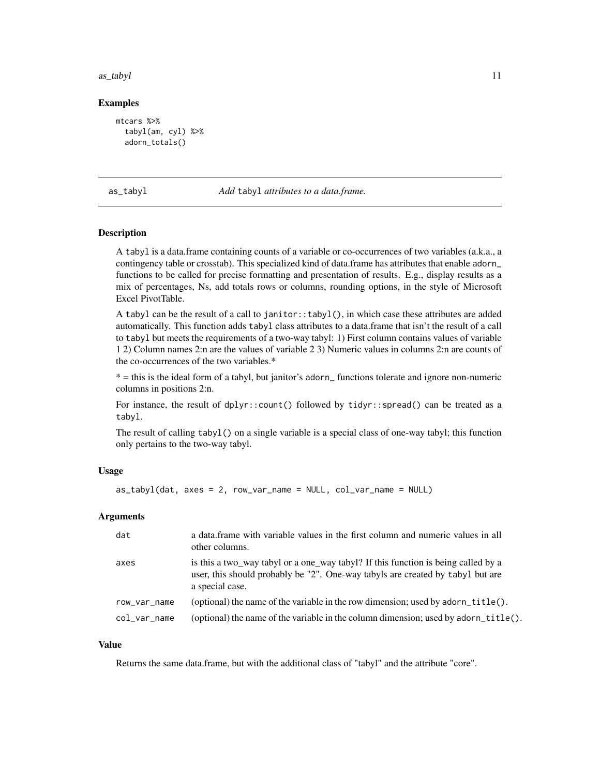#### <span id="page-10-0"></span>as\_tabyl 11

#### Examples

```
mtcars %>%
  tabyl(am, cyl) %>%
  adorn_totals()
```
#### as\_tabyl *Add* tabyl *attributes to a data.frame.*

#### **Description**

A tabyl is a data.frame containing counts of a variable or co-occurrences of two variables (a.k.a., a contingency table or crosstab). This specialized kind of data.frame has attributes that enable adorn\_ functions to be called for precise formatting and presentation of results. E.g., display results as a mix of percentages, Ns, add totals rows or columns, rounding options, in the style of Microsoft Excel PivotTable.

A tabyl can be the result of a call to janitor::tabyl(), in which case these attributes are added automatically. This function adds tabyl class attributes to a data.frame that isn't the result of a call to tabyl but meets the requirements of a two-way tabyl: 1) First column contains values of variable 1 2) Column names 2:n are the values of variable 2 3) Numeric values in columns 2:n are counts of the co-occurrences of the two variables.\*

\* = this is the ideal form of a tabyl, but janitor's adorn\_ functions tolerate and ignore non-numeric columns in positions 2:n.

For instance, the result of dplyr::count() followed by tidyr::spread() can be treated as a tabyl.

The result of calling tabyl() on a single variable is a special class of one-way tabyl; this function only pertains to the two-way tabyl.

#### Usage

```
as_tabyl(dat, axes = 2, row_var_name = NULL, col_var_name = NULL)
```
#### Arguments

| dat            | a data frame with variable values in the first column and numeric values in all<br>other columns.                                                                                      |
|----------------|----------------------------------------------------------------------------------------------------------------------------------------------------------------------------------------|
| axes           | is this a two_way tabyl or a one_way tabyl? If this function is being called by a<br>user, this should probably be "2". One-way tabyls are created by tabyl but are<br>a special case. |
| row_var_name   | (optional) the name of the variable in the row dimension; used by adorn_title().                                                                                                       |
| $col_var_name$ | (optional) the name of the variable in the column dimension; used by adorn_title().                                                                                                    |

#### Value

Returns the same data.frame, but with the additional class of "tabyl" and the attribute "core".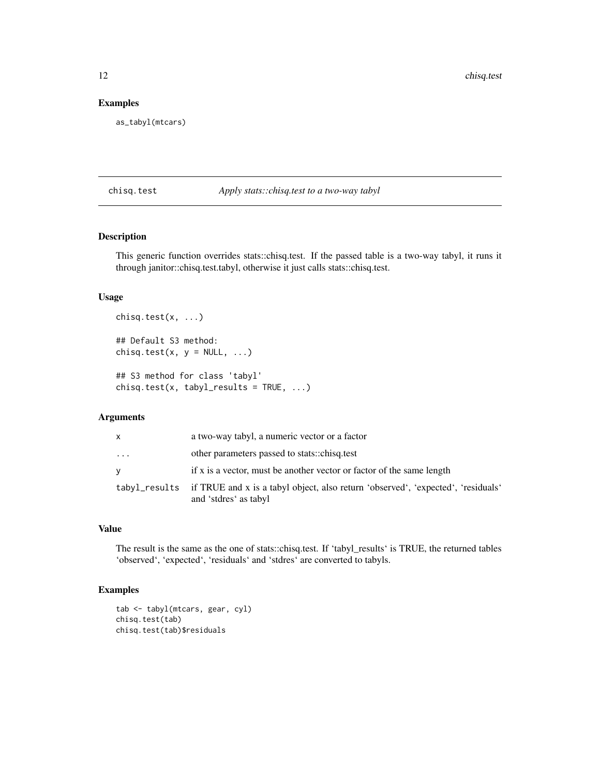## Examples

as\_tabyl(mtcars)

#### chisq.test *Apply stats::chisq.test to a two-way tabyl*

## Description

This generic function overrides stats::chisq.test. If the passed table is a two-way tabyl, it runs it through janitor::chisq.test.tabyl, otherwise it just calls stats::chisq.test.

#### Usage

```
chisq.test(x, ...)
## Default S3 method:
chisq.test(x, y = NULL, ...)
## S3 method for class 'tabyl'
chisq.test(x, tabyl\_results = TRUE, ...)
```
## Arguments

| x                       | a two-way tabyl, a numeric vector or a factor                                                                           |
|-------------------------|-------------------------------------------------------------------------------------------------------------------------|
| $\cdot$ $\cdot$ $\cdot$ | other parameters passed to stats::chisq.test                                                                            |
| V                       | if x is a vector, must be another vector or factor of the same length                                                   |
|                         | tabyl_results if TRUE and x is a tabyl object, also return 'observed', 'expected', 'residuals'<br>and 'stdres' as tabyl |

## Value

The result is the same as the one of stats::chisq.test. If 'tabyl\_results' is TRUE, the returned tables 'observed', 'expected', 'residuals' and 'stdres' are converted to tabyls.

```
tab <- tabyl(mtcars, gear, cyl)
chisq.test(tab)
chisq.test(tab)$residuals
```
<span id="page-11-0"></span>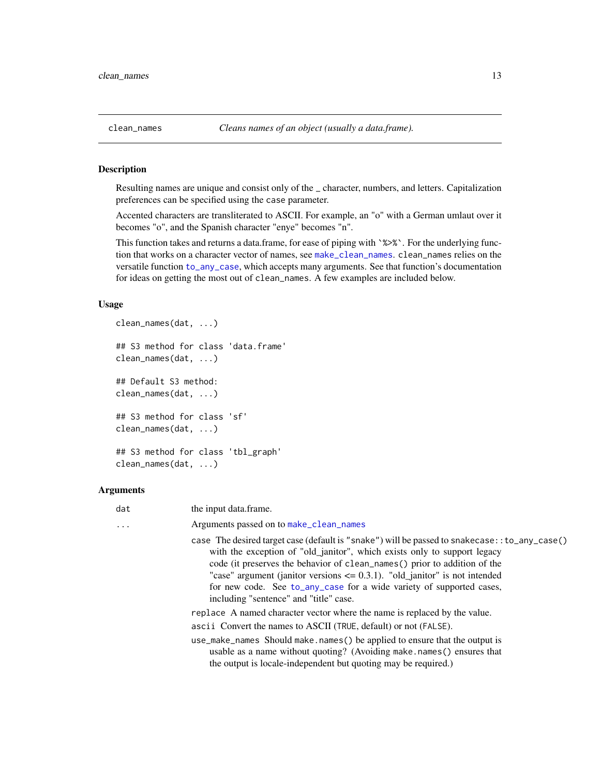<span id="page-12-1"></span><span id="page-12-0"></span>

Resulting names are unique and consist only of the \_ character, numbers, and letters. Capitalization preferences can be specified using the case parameter.

Accented characters are transliterated to ASCII. For example, an "o" with a German umlaut over it becomes "o", and the Spanish character "enye" becomes "n".

This function takes and returns a data.frame, for ease of piping with `%>%`. For the underlying function that works on a character vector of names, see [make\\_clean\\_names](#page-23-1). clean\_names relies on the versatile function [to\\_any\\_case](#page-0-0), which accepts many arguments. See that function's documentation for ideas on getting the most out of clean\_names. A few examples are included below.

#### Usage

```
clean_names(dat, ...)
## S3 method for class 'data.frame'
clean_names(dat, ...)
## Default S3 method:
clean_names(dat, ...)
## S3 method for class 'sf'
clean_names(dat, ...)
## S3 method for class 'tbl_graph'
clean_names(dat, ...)
```
## Arguments

| dat      | the input data.frame.                                                                                                                                                                                                                                                                                                                                                                                                                                        |
|----------|--------------------------------------------------------------------------------------------------------------------------------------------------------------------------------------------------------------------------------------------------------------------------------------------------------------------------------------------------------------------------------------------------------------------------------------------------------------|
| $\cdots$ | Arguments passed on to make_clean_names                                                                                                                                                                                                                                                                                                                                                                                                                      |
|          | case The desired target case (default is "snake") will be passed to snakecase: : to_any_case()<br>with the exception of "old_janitor", which exists only to support legacy<br>code (it preserves the behavior of clean names () prior to addition of the<br>"case" argument (janitor versions $\leq$ 0.3.1). "old_janitor" is not intended<br>for new code. See to_any_case for a wide variety of supported cases,<br>including "sentence" and "title" case. |
|          | replace A named character vector where the name is replaced by the value.                                                                                                                                                                                                                                                                                                                                                                                    |
|          | ascii Convert the names to ASCII (TRUE, default) or not (FALSE).                                                                                                                                                                                                                                                                                                                                                                                             |
|          | use_make_names Should make.names() be applied to ensure that the output is<br>usable as a name without quoting? (Avoiding make, names () ensures that<br>the output is locale-independent but quoting may be required.)                                                                                                                                                                                                                                      |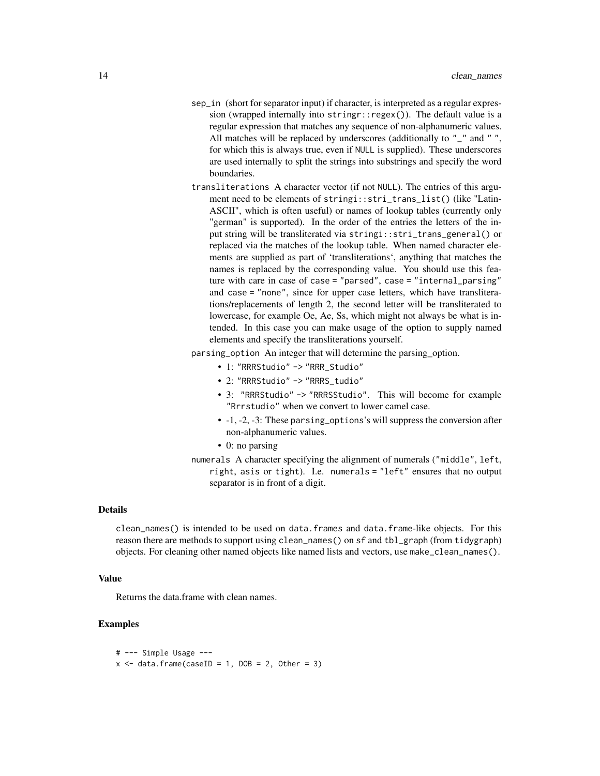- sep\_in (short for separator input) if character, is interpreted as a regular expression (wrapped internally into stringr::regex()). The default value is a regular expression that matches any sequence of non-alphanumeric values. All matches will be replaced by underscores (additionally to "\_" and "", for which this is always true, even if NULL is supplied). These underscores are used internally to split the strings into substrings and specify the word boundaries.
- transliterations A character vector (if not NULL). The entries of this argument need to be elements of stringi::stri\_trans\_list() (like "Latin-ASCII", which is often useful) or names of lookup tables (currently only "german" is supported). In the order of the entries the letters of the input string will be transliterated via stringi::stri\_trans\_general() or replaced via the matches of the lookup table. When named character elements are supplied as part of 'transliterations', anything that matches the names is replaced by the corresponding value. You should use this feature with care in case of case = "parsed", case = "internal\_parsing" and case = "none", since for upper case letters, which have transliterations/replacements of length 2, the second letter will be transliterated to lowercase, for example Oe, Ae, Ss, which might not always be what is intended. In this case you can make usage of the option to supply named elements and specify the transliterations yourself.

parsing\_option An integer that will determine the parsing\_option.

- 1: "RRRStudio" -> "RRR\_Studio"
- 2: "RRRStudio" -> "RRRS\_tudio"
- 3: "RRRStudio" -> "RRRSStudio". This will become for example "Rrrstudio" when we convert to lower camel case.
- -1, -2, -3: These parsing\_options's will suppress the conversion after non-alphanumeric values.
- 0: no parsing
- numerals A character specifying the alignment of numerals ("middle", left, right, asis or tight). I.e. numerals = "left" ensures that no output separator is in front of a digit.

#### Details

clean\_names() is intended to be used on data.frames and data.frame-like objects. For this reason there are methods to support using clean\_names() on sf and tbl\_graph (from tidygraph) objects. For cleaning other named objects like named lists and vectors, use make\_clean\_names().

#### Value

Returns the data.frame with clean names.

```
# --- Simple Usage ---
x \le - data.frame(caseID = 1, DOB = 2, Other = 3)
```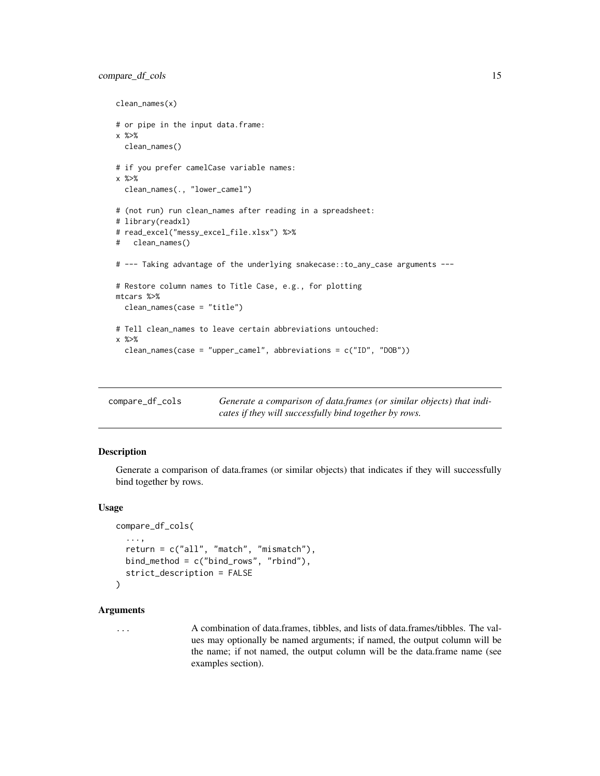## <span id="page-14-0"></span>compare\_df\_cols 15

```
clean_names(x)
# or pipe in the input data.frame:
x %>%
  clean_names()
# if you prefer camelCase variable names:
x %>%
  clean_names(., "lower_camel")
# (not run) run clean_names after reading in a spreadsheet:
# library(readxl)
# read_excel("messy_excel_file.xlsx") %>%
# clean_names()
# --- Taking advantage of the underlying snakecase::to_any_case arguments ---
# Restore column names to Title Case, e.g., for plotting
mtcars %>%
  clean_names(case = "title")
# Tell clean_names to leave certain abbreviations untouched:
x %>%
  clean_names(case = "upper_camel", abbreviations = c("ID", "DOB"))
```
<span id="page-14-1"></span>

| compare_df_cols | Generate a comparison of data.frames (or similar objects) that indi- |
|-----------------|----------------------------------------------------------------------|
|                 | cates if they will successfully bind together by rows.               |

## Description

Generate a comparison of data.frames (or similar objects) that indicates if they will successfully bind together by rows.

#### Usage

```
compare_df_cols(
  ...,
  return = c("all", "match", "mismatch"),
 bind_method = c("bind_rows", "rbind"),
  strict_description = FALSE
)
```
#### **Arguments**

... A combination of data.frames, tibbles, and lists of data.frames/tibbles. The values may optionally be named arguments; if named, the output column will be the name; if not named, the output column will be the data.frame name (see examples section).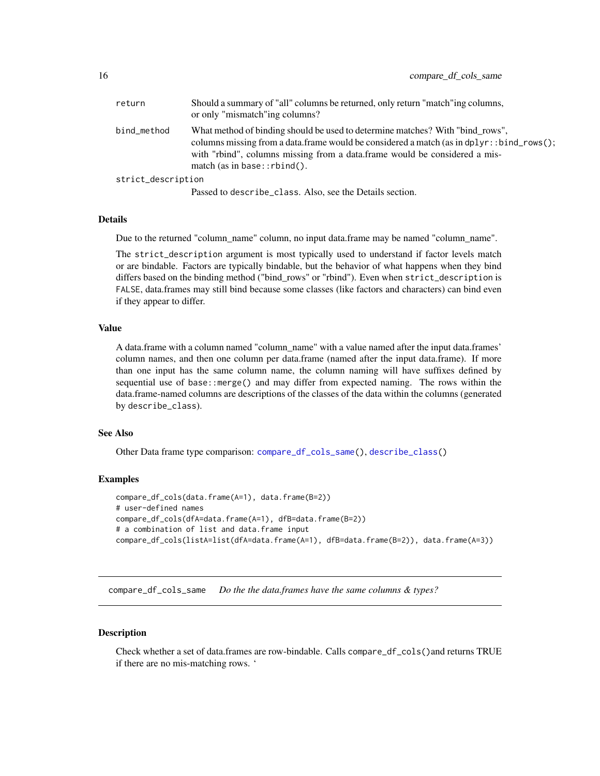<span id="page-15-0"></span>

| return             | Should a summary of "all" columns be returned, only return "match"ing columns,<br>or only "mismatch"ing columns?                                                                                                                                                                                |
|--------------------|-------------------------------------------------------------------------------------------------------------------------------------------------------------------------------------------------------------------------------------------------------------------------------------------------|
| bind_method        | What method of binding should be used to determine matches? With "bind rows",<br>columns missing from a data.frame would be considered a match (as in $dplyr: :bind\_rows()$ ;<br>with "rbind", columns missing from a data.frame would be considered a mis-<br>match (as in base:: $rbind()$ . |
| strict_description |                                                                                                                                                                                                                                                                                                 |
|                    | Passed to describe_class. Also, see the Details section.                                                                                                                                                                                                                                        |

#### Details

Due to the returned "column\_name" column, no input data.frame may be named "column\_name".

The strict\_description argument is most typically used to understand if factor levels match or are bindable. Factors are typically bindable, but the behavior of what happens when they bind differs based on the binding method ("bind\_rows" or "rbind"). Even when strict\_description is FALSE, data.frames may still bind because some classes (like factors and characters) can bind even if they appear to differ.

#### Value

A data.frame with a column named "column\_name" with a value named after the input data.frames' column names, and then one column per data.frame (named after the input data.frame). If more than one input has the same column name, the column naming will have suffixes defined by sequential use of base::merge() and may differ from expected naming. The rows within the data.frame-named columns are descriptions of the classes of the data within the columns (generated by describe\_class).

#### See Also

Other Data frame type comparison: [compare\\_df\\_cols\\_same\(](#page-15-1)), [describe\\_class\(](#page-19-1))

#### Examples

```
compare_df_cols(data.frame(A=1), data.frame(B=2))
# user-defined names
compare_df_cols(dfA=data.frame(A=1), dfB=data.frame(B=2))
# a combination of list and data.frame input
compare_df_cols(listA=list(dfA=data.frame(A=1), dfB=data.frame(B=2)), data.frame(A=3))
```
<span id="page-15-1"></span>compare\_df\_cols\_same *Do the the data.frames have the same columns & types?*

#### **Description**

Check whether a set of data.frames are row-bindable. Calls compare\_df\_cols()and returns TRUE if there are no mis-matching rows. '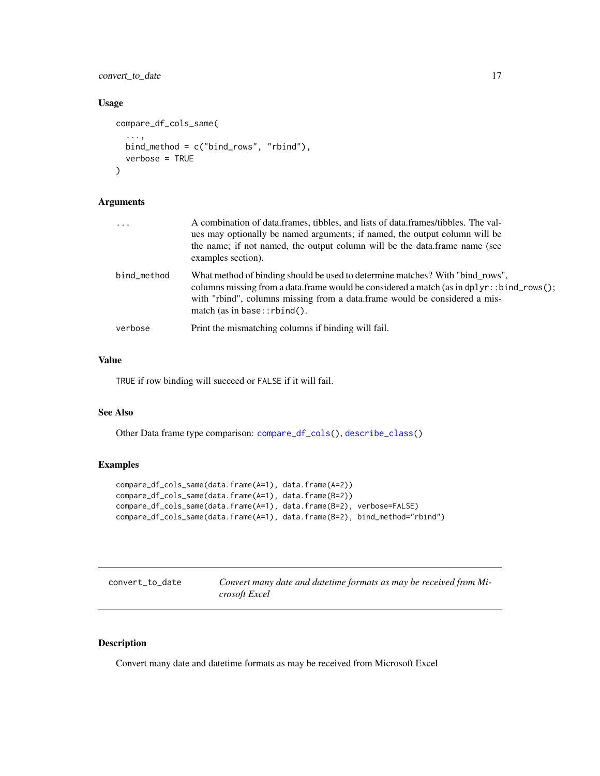## <span id="page-16-0"></span>convert\_to\_date 17

## Usage

```
compare_df_cols_same(
  ...,
 bind_method = c("bind_rows", "rbind"),
  verbose = TRUE
)
```
#### Arguments

| $\ddots$ .  | A combination of data.frames, tibbles, and lists of data.frames/tibbles. The val-<br>ues may optionally be named arguments; if named, the output column will be<br>the name; if not named, the output column will be the data.frame name (see<br>examples section).                             |
|-------------|-------------------------------------------------------------------------------------------------------------------------------------------------------------------------------------------------------------------------------------------------------------------------------------------------|
| bind_method | What method of binding should be used to determine matches? With "bind_rows",<br>columns missing from a data.frame would be considered a match (as in $d$ pl $y$ r: : bind_rows();<br>with "rbind", columns missing from a data.frame would be considered a mis-<br>match (as in base::rbind(). |
| verbose     | Print the mismatching columns if binding will fail.                                                                                                                                                                                                                                             |

## Value

TRUE if row binding will succeed or FALSE if it will fail.

## See Also

Other Data frame type comparison: [compare\\_df\\_cols\(](#page-14-1)), [describe\\_class\(](#page-19-1))

## Examples

```
compare_df_cols_same(data.frame(A=1), data.frame(A=2))
compare_df_cols_same(data.frame(A=1), data.frame(B=2))
compare_df_cols_same(data.frame(A=1), data.frame(B=2), verbose=FALSE)
compare_df_cols_same(data.frame(A=1), data.frame(B=2), bind_method="rbind")
```
<span id="page-16-1"></span>

| convert_to_date | Convert many date and datetime formats as may be received from Mi- |
|-----------------|--------------------------------------------------------------------|
|                 | crosoft Excel                                                      |

## Description

Convert many date and datetime formats as may be received from Microsoft Excel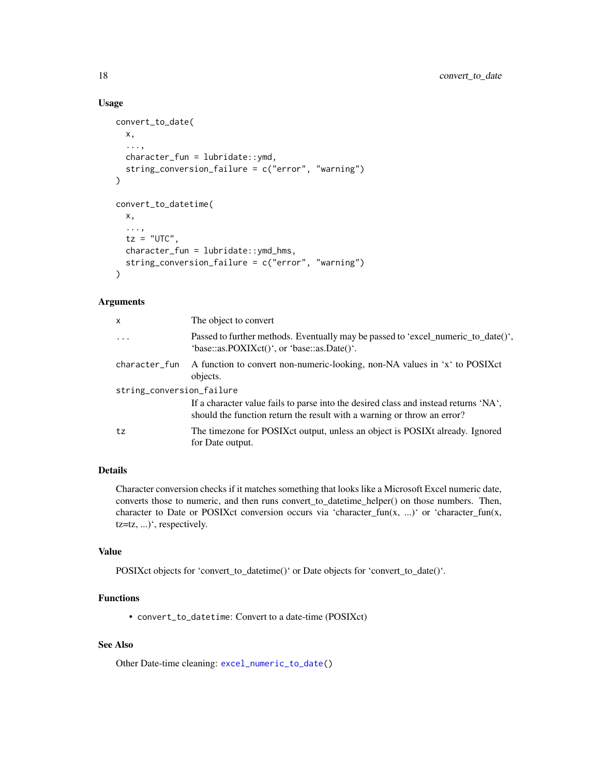#### Usage

```
convert_to_date(
  x,
  ...,
  character_fun = lubridate::ymd,
  string_conversion_failure = c("error", "warning")
)
convert_to_datetime(
  x,
  ...,
  tz = "UTC",character_fun = lubridate::ymd_hms,
  string_conversion_failure = c("error", "warning")
)
```
## Arguments

| x                         | The object to convert                                                                                                                                           |
|---------------------------|-----------------------------------------------------------------------------------------------------------------------------------------------------------------|
| $\cdots$                  | Passed to further methods. Eventually may be passed to 'excel_numeric_to_date()',<br>'base::as.POXIXct()', or 'base::as.Date()'.                                |
| character_fun             | A function to convert non-numeric-looking, non-NA values in 'x' to POSIX et<br>objects.                                                                         |
| string_conversion_failure |                                                                                                                                                                 |
|                           | If a character value fails to parse into the desired class and instead returns 'NA',<br>should the function return the result with a warning or throw an error? |
| tz                        | The timezone for POSIX ct output, unless an object is POSIX talready. Ignored<br>for Date output.                                                               |

#### Details

Character conversion checks if it matches something that looks like a Microsoft Excel numeric date, converts those to numeric, and then runs convert\_to\_datetime\_helper() on those numbers. Then, character to Date or POSIXct conversion occurs via 'character\_fun(x, ...)' or 'character\_fun(x, tz=tz, ...)', respectively.

## Value

POSIXct objects for 'convert\_to\_datetime()' or Date objects for 'convert\_to\_date()'.

## Functions

• convert\_to\_datetime: Convert to a date-time (POSIXct)

## See Also

Other Date-time cleaning: [excel\\_numeric\\_to\\_date\(](#page-20-1))

<span id="page-17-0"></span>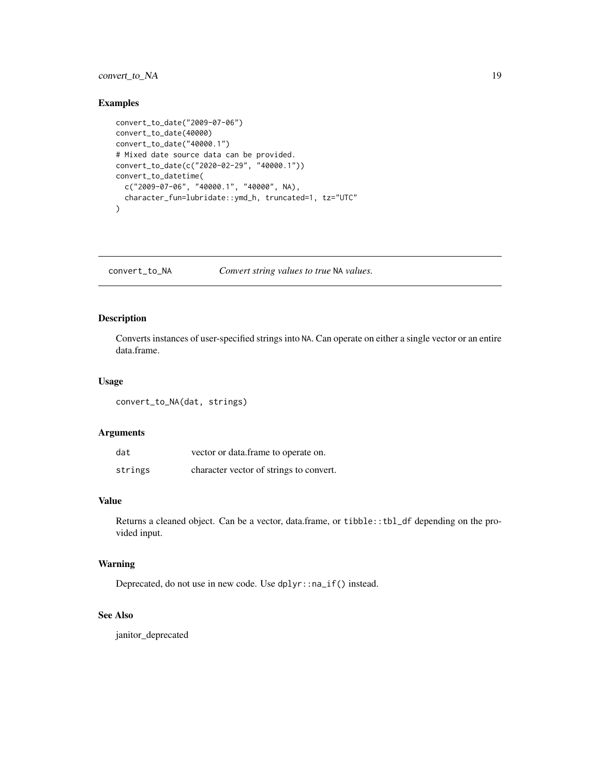## <span id="page-18-0"></span>convert\_to\_NA 19

## Examples

```
convert_to_date("2009-07-06")
convert_to_date(40000)
convert_to_date("40000.1")
# Mixed date source data can be provided.
convert_to_date(c("2020-02-29", "40000.1"))
convert_to_datetime(
  c("2009-07-06", "40000.1", "40000", NA),
  character_fun=lubridate::ymd_h, truncated=1, tz="UTC"
)
```
<span id="page-18-1"></span>convert\_to\_NA *Convert string values to true* NA *values.*

## Description

Converts instances of user-specified strings into NA. Can operate on either a single vector or an entire data.frame.

#### Usage

```
convert_to_NA(dat, strings)
```
## Arguments

| dat     | vector or data.frame to operate on.     |
|---------|-----------------------------------------|
| strings | character vector of strings to convert. |

## Value

Returns a cleaned object. Can be a vector, data.frame, or tibble::tbl\_df depending on the provided input.

#### Warning

Deprecated, do not use in new code. Use dplyr::na\_if() instead.

## See Also

janitor\_deprecated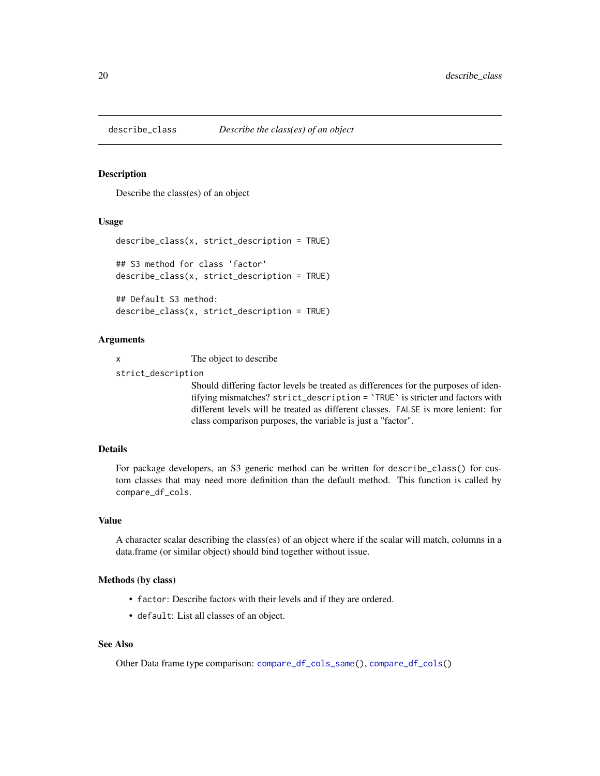<span id="page-19-1"></span><span id="page-19-0"></span>

Describe the class(es) of an object

#### Usage

```
describe_class(x, strict_description = TRUE)
## S3 method for class 'factor'
describe_class(x, strict_description = TRUE)
## Default S3 method:
```

```
describe_class(x, strict_description = TRUE)
```
## Arguments

x The object to describe

strict\_description

Should differing factor levels be treated as differences for the purposes of identifying mismatches? strict\_description = `TRUE` is stricter and factors with different levels will be treated as different classes. FALSE is more lenient: for class comparison purposes, the variable is just a "factor".

## Details

For package developers, an S3 generic method can be written for describe\_class() for custom classes that may need more definition than the default method. This function is called by compare\_df\_cols.

#### Value

A character scalar describing the class(es) of an object where if the scalar will match, columns in a data.frame (or similar object) should bind together without issue.

#### Methods (by class)

- factor: Describe factors with their levels and if they are ordered.
- default: List all classes of an object.

#### See Also

Other Data frame type comparison: [compare\\_df\\_cols\\_same\(](#page-15-1)), [compare\\_df\\_cols\(](#page-14-1))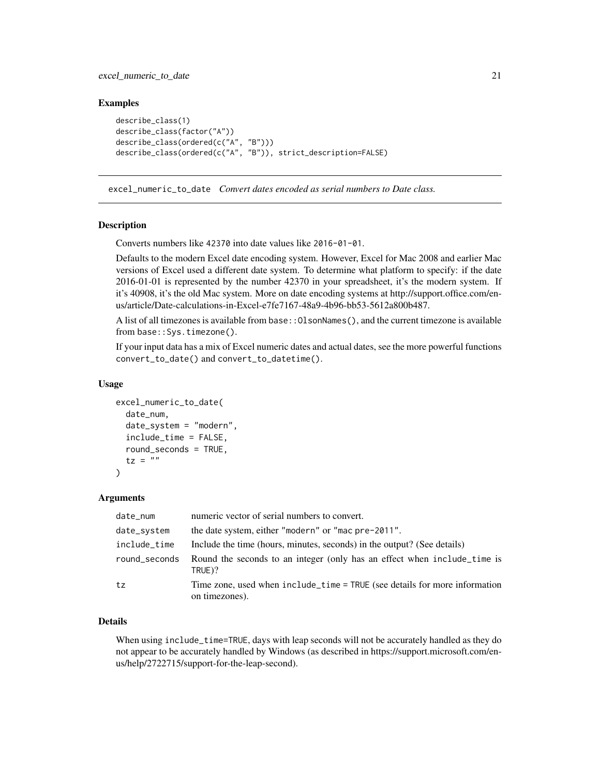## <span id="page-20-0"></span>Examples

```
describe_class(1)
describe_class(factor("A"))
describe_class(ordered(c("A", "B")))
describe_class(ordered(c("A", "B")), strict_description=FALSE)
```
<span id="page-20-1"></span>excel\_numeric\_to\_date *Convert dates encoded as serial numbers to Date class.*

## **Description**

Converts numbers like 42370 into date values like 2016-01-01.

Defaults to the modern Excel date encoding system. However, Excel for Mac 2008 and earlier Mac versions of Excel used a different date system. To determine what platform to specify: if the date 2016-01-01 is represented by the number 42370 in your spreadsheet, it's the modern system. If it's 40908, it's the old Mac system. More on date encoding systems at http://support.office.com/enus/article/Date-calculations-in-Excel-e7fe7167-48a9-4b96-bb53-5612a800b487.

A list of all timezones is available from base::OlsonNames(), and the current timezone is available from base::Sys.timezone().

If your input data has a mix of Excel numeric dates and actual dates, see the more powerful functions convert\_to\_date() and convert\_to\_datetime().

#### Usage

```
excel_numeric_to_date(
  date_num,
  date_system = "modern",
  include_time = FALSE,
  round_seconds = TRUE,
  tz = "")
```
#### Arguments

| date_num      | numeric vector of serial numbers to convert.                                                 |
|---------------|----------------------------------------------------------------------------------------------|
| date_system   | the date system, either "modern" or "mac pre-2011".                                          |
| include_time  | Include the time (hours, minutes, seconds) in the output? (See details)                      |
| round_seconds | Round the seconds to an integer (only has an effect when include_time is<br>TRUE)?           |
| tz            | Time zone, used when include_time = TRUE (see details for more information<br>on timezones). |

## Details

When using include\_time=TRUE, days with leap seconds will not be accurately handled as they do not appear to be accurately handled by Windows (as described in https://support.microsoft.com/enus/help/2722715/support-for-the-leap-second).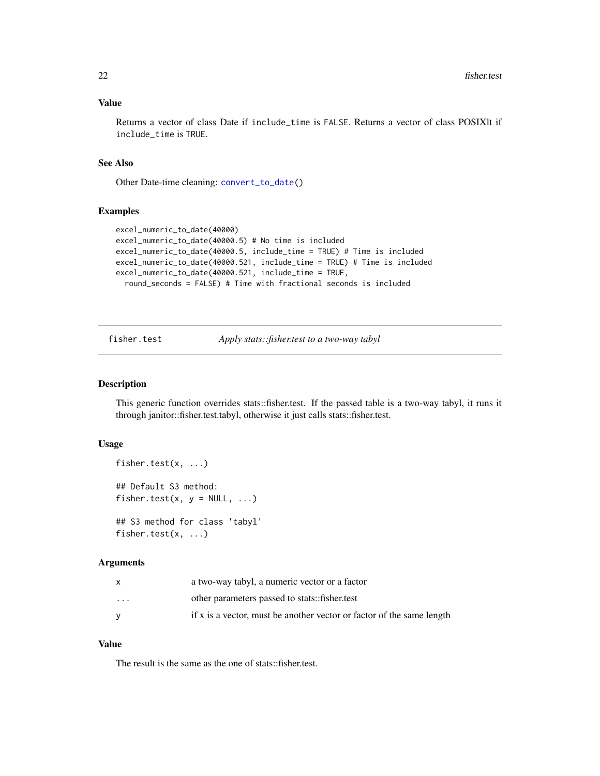#### <span id="page-21-0"></span>Value

Returns a vector of class Date if include\_time is FALSE. Returns a vector of class POSIXlt if include\_time is TRUE.

#### See Also

Other Date-time cleaning: [convert\\_to\\_date\(](#page-16-1))

#### Examples

```
excel_numeric_to_date(40000)
excel_numeric_to_date(40000.5) # No time is included
excel_numeric_to_date(40000.5, include_time = TRUE) # Time is included
excel_numeric_to_date(40000.521, include_time = TRUE) # Time is included
excel_numeric_to_date(40000.521, include_time = TRUE,
 round_seconds = FALSE) # Time with fractional seconds is included
```
fisher.test *Apply stats::fisher.test to a two-way tabyl*

#### Description

This generic function overrides stats::fisher.test. If the passed table is a two-way tabyl, it runs it through janitor::fisher.test.tabyl, otherwise it just calls stats::fisher.test.

#### Usage

```
fisher.test(x, ...)
## Default S3 method:
fisher.test(x, y = NULL, ...)
## S3 method for class 'tabyl'
fisher.test(x, ...)
```
#### Arguments

|          | a two-way tabyl, a numeric vector or a factor                         |
|----------|-----------------------------------------------------------------------|
| $\cdots$ | other parameters passed to stats::fisher.test                         |
|          | if x is a vector, must be another vector or factor of the same length |

#### Value

The result is the same as the one of stats::fisher.test.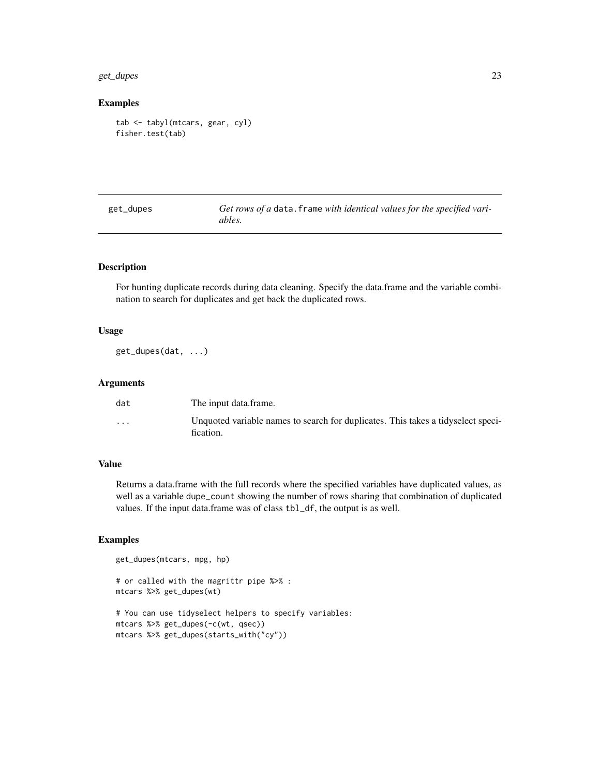#### <span id="page-22-0"></span>get\_dupes 23

## Examples

```
tab <- tabyl(mtcars, gear, cyl)
fisher.test(tab)
```

| get_dupes | Get rows of a data. frame with identical values for the specified vari- |
|-----------|-------------------------------------------------------------------------|
|           | ables.                                                                  |

## Description

For hunting duplicate records during data cleaning. Specify the data.frame and the variable combination to search for duplicates and get back the duplicated rows.

#### Usage

get\_dupes(dat, ...)

## Arguments

| dat                     | The input data frame.                                                                         |
|-------------------------|-----------------------------------------------------------------------------------------------|
| $\cdot$ $\cdot$ $\cdot$ | Unquoted variable names to search for duplicates. This takes a tidyselect speci-<br>fication. |

## Value

Returns a data.frame with the full records where the specified variables have duplicated values, as well as a variable dupe\_count showing the number of rows sharing that combination of duplicated values. If the input data.frame was of class tbl\_df, the output is as well.

#### Examples

```
get_dupes(mtcars, mpg, hp)
```
# or called with the magrittr pipe %>% : mtcars %>% get\_dupes(wt)

# You can use tidyselect helpers to specify variables: mtcars %>% get\_dupes(-c(wt, qsec)) mtcars %>% get\_dupes(starts\_with("cy"))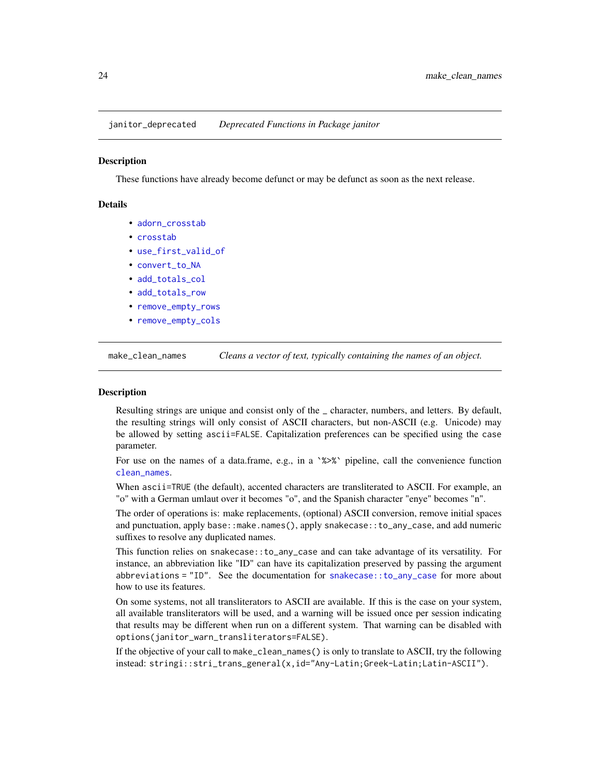<span id="page-23-0"></span>janitor\_deprecated *Deprecated Functions in Package janitor*

## Description

These functions have already become defunct or may be defunct as soon as the next release.

## Details

- [adorn\\_crosstab](#page-0-0)
- [crosstab](#page-0-0)
- [use\\_first\\_valid\\_of](#page-34-1)
- [convert\\_to\\_NA](#page-18-1)
- [add\\_totals\\_col](#page-2-1)
- [add\\_totals\\_row](#page-2-2)
- [remove\\_empty\\_rows](#page-28-1)
- [remove\\_empty\\_cols](#page-27-1)

<span id="page-23-1"></span>make\_clean\_names *Cleans a vector of text, typically containing the names of an object.*

#### Description

Resulting strings are unique and consist only of the \_ character, numbers, and letters. By default, the resulting strings will only consist of ASCII characters, but non-ASCII (e.g. Unicode) may be allowed by setting ascii=FALSE. Capitalization preferences can be specified using the case parameter.

For use on the names of a data.frame, e.g., in a  $\frac{8}{2}$  pipeline, call the convenience function [clean\\_names](#page-12-1).

When ascii=TRUE (the default), accented characters are transliterated to ASCII. For example, an "o" with a German umlaut over it becomes "o", and the Spanish character "enye" becomes "n".

The order of operations is: make replacements, (optional) ASCII conversion, remove initial spaces and punctuation, apply base::make.names(), apply snakecase::to\_any\_case, and add numeric suffixes to resolve any duplicated names.

This function relies on snakecase::to\_any\_case and can take advantage of its versatility. For instance, an abbreviation like "ID" can have its capitalization preserved by passing the argument abbreviations = "ID". See the documentation for [snakecase::to\\_any\\_case](#page-0-0) for more about how to use its features.

On some systems, not all transliterators to ASCII are available. If this is the case on your system, all available transliterators will be used, and a warning will be issued once per session indicating that results may be different when run on a different system. That warning can be disabled with options(janitor\_warn\_transliterators=FALSE).

If the objective of your call to make\_clean\_names() is only to translate to ASCII, try the following instead: stringi::stri\_trans\_general(x,id="Any-Latin;Greek-Latin;Latin-ASCII").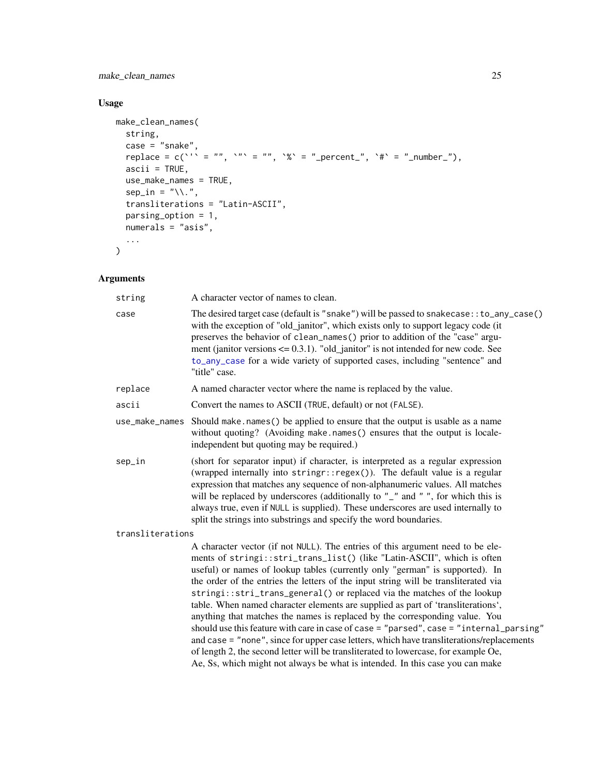<span id="page-24-0"></span>make\_clean\_names 25

## Usage

```
make_clean_names(
  string,
  case = "subset",replace = c('' = "", '"' = "", '%' = "_percent_", '#' = "_number_"),
  \textsf{ascii} = \textsf{TRUE},use_make_names = TRUE,
  sep\_in = "\\.\".transliterations = "Latin-ASCII",
  parsing_option = 1,
  numerals = "asis",
  ...
\sum_{i=1}^{n}
```
## Arguments

| string           | A character vector of names to clean.                                                                                                                                                                                                                                                                                                                                                                                                                                                                                                                                                                                                                                                                                                                                                                                                                                                                                                          |
|------------------|------------------------------------------------------------------------------------------------------------------------------------------------------------------------------------------------------------------------------------------------------------------------------------------------------------------------------------------------------------------------------------------------------------------------------------------------------------------------------------------------------------------------------------------------------------------------------------------------------------------------------------------------------------------------------------------------------------------------------------------------------------------------------------------------------------------------------------------------------------------------------------------------------------------------------------------------|
| case             | The desired target case (default is "snake") will be passed to snakecase: : to_any_case()<br>with the exception of "old_janitor", which exists only to support legacy code (it<br>preserves the behavior of clean_names() prior to addition of the "case" argu-<br>ment (janitor versions $\leq$ 0.3.1). "old_janitor" is not intended for new code. See<br>to_any_case for a wide variety of supported cases, including "sentence" and<br>"title" case.                                                                                                                                                                                                                                                                                                                                                                                                                                                                                       |
| replace          | A named character vector where the name is replaced by the value.                                                                                                                                                                                                                                                                                                                                                                                                                                                                                                                                                                                                                                                                                                                                                                                                                                                                              |
| ascii            | Convert the names to ASCII (TRUE, default) or not (FALSE).                                                                                                                                                                                                                                                                                                                                                                                                                                                                                                                                                                                                                                                                                                                                                                                                                                                                                     |
|                  | use_make_names Should make.names() be applied to ensure that the output is usable as a name<br>without quoting? (Avoiding make.names() ensures that the output is locale-<br>independent but quoting may be required.)                                                                                                                                                                                                                                                                                                                                                                                                                                                                                                                                                                                                                                                                                                                         |
| sep_in           | (short for separator input) if character, is interpreted as a regular expression<br>(wrapped internally into stringr::regex()). The default value is a regular<br>expression that matches any sequence of non-alphanumeric values. All matches<br>will be replaced by underscores (additionally to "_" and "", for which this is<br>always true, even if NULL is supplied). These underscores are used internally to<br>split the strings into substrings and specify the word boundaries.                                                                                                                                                                                                                                                                                                                                                                                                                                                     |
| transliterations |                                                                                                                                                                                                                                                                                                                                                                                                                                                                                                                                                                                                                                                                                                                                                                                                                                                                                                                                                |
|                  | A character vector (if not NULL). The entries of this argument need to be ele-<br>ments of stringi::stri_trans_list() (like "Latin-ASCII", which is often<br>useful) or names of lookup tables (currently only "german" is supported). In<br>the order of the entries the letters of the input string will be transliterated via<br>stringi::stri_trans_general() or replaced via the matches of the lookup<br>table. When named character elements are supplied as part of 'transliterations',<br>anything that matches the names is replaced by the corresponding value. You<br>should use this feature with care in case of case = "parsed", case = "internal_parsing"<br>and case = "none", since for upper case letters, which have transliterations/replacements<br>of length 2, the second letter will be transliterated to lowercase, for example Oe,<br>Ae, Ss, which might not always be what is intended. In this case you can make |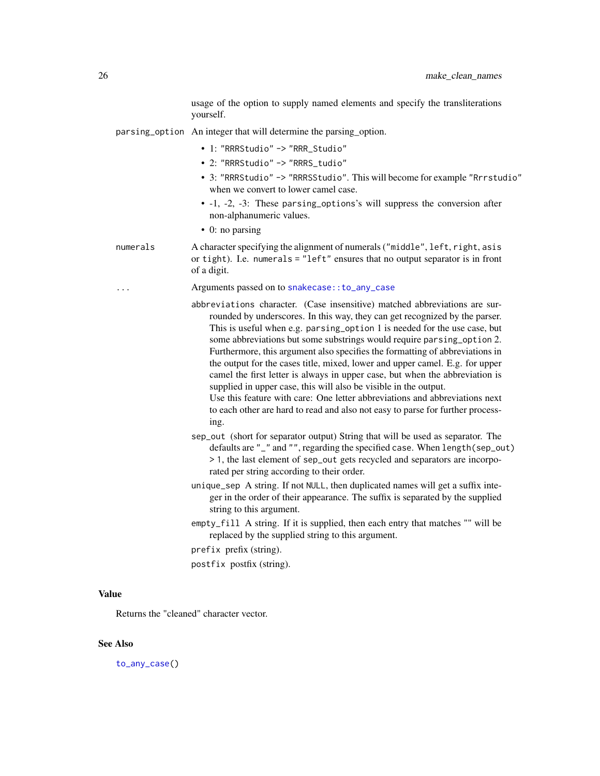usage of the option to supply named elements and specify the transliterations yourself.

- <span id="page-25-0"></span>parsing\_option An integer that will determine the parsing\_option.
	- 1: "RRRStudio" -> "RRR\_Studio"
	- 2: "RRRStudio" -> "RRRS\_tudio"
	- 3: "RRRStudio" -> "RRRSStudio". This will become for example "Rrrstudio" when we convert to lower camel case.
	- -1, -2, -3: These parsing\_options's will suppress the conversion after non-alphanumeric values.
	- 0: no parsing
- numerals A character specifying the alignment of numerals ("middle", left, right, asis or tight). I.e. numerals = "left" ensures that no output separator is in front of a digit.
	- Arguments passed on to snakecase:: to\_any\_case
	- abbreviations character. (Case insensitive) matched abbreviations are surrounded by underscores. In this way, they can get recognized by the parser. This is useful when e.g. parsing\_option 1 is needed for the use case, but some abbreviations but some substrings would require parsing\_option 2. Furthermore, this argument also specifies the formatting of abbreviations in the output for the cases title, mixed, lower and upper camel. E.g. for upper camel the first letter is always in upper case, but when the abbreviation is supplied in upper case, this will also be visible in the output.

Use this feature with care: One letter abbreviations and abbreviations next to each other are hard to read and also not easy to parse for further processing.

- sep\_out (short for separator output) String that will be used as separator. The defaults are "\_" and "", regarding the specified case. When length(sep\_out) > 1, the last element of sep\_out gets recycled and separators are incorporated per string according to their order.
- unique\_sep A string. If not NULL, then duplicated names will get a suffix integer in the order of their appearance. The suffix is separated by the supplied string to this argument.
- empty\_fill A string. If it is supplied, then each entry that matches "" will be replaced by the supplied string to this argument.

prefix prefix (string).

postfix postfix (string).

#### Value

Returns the "cleaned" character vector.

## See Also

[to\\_any\\_case\(](#page-0-0))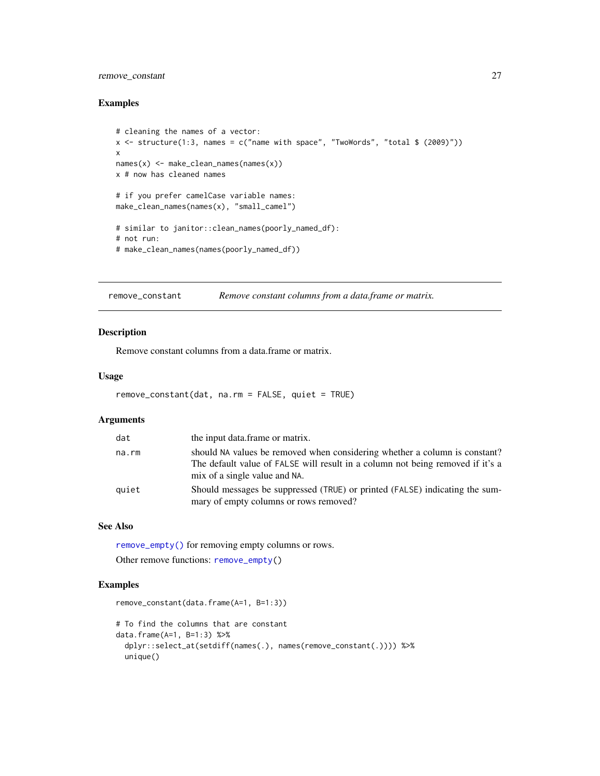## <span id="page-26-0"></span>remove\_constant 27

#### Examples

```
# cleaning the names of a vector:
x \leftarrow structure(1:3, names = c("name with space", "TwoWords", "total $ (2009)"))
x
names(x) <- make_clean_names(names(x))
x # now has cleaned names
# if you prefer camelCase variable names:
make_clean_names(names(x), "small_camel")
# similar to janitor::clean_names(poorly_named_df):
# not run:
# make_clean_names(names(poorly_named_df))
```
<span id="page-26-1"></span>remove\_constant *Remove constant columns from a data.frame or matrix.*

#### Description

Remove constant columns from a data.frame or matrix.

## Usage

```
remove_constant(dat, na.rm = FALSE, quiet = TRUE)
```
#### Arguments

| dat   | the input data.frame or matrix.                                                                                                                                                               |
|-------|-----------------------------------------------------------------------------------------------------------------------------------------------------------------------------------------------|
| na.rm | should NA values be removed when considering whether a column is constant?<br>The default value of FALSE will result in a column not being removed if it's a<br>mix of a single value and NA. |
| quiet | Should messages be suppressed (TRUE) or printed (FALSE) indicating the sum-<br>mary of empty columns or rows removed?                                                                         |

## See Also

[remove\\_empty\(\)](#page-27-2) for removing empty columns or rows.

```
Other remove functions: remove_empty()
```

```
remove_constant(data.frame(A=1, B=1:3))
```

```
# To find the columns that are constant
data.frame(A=1, B=1:3) %>%
 dplyr::select_at(setdiff(names(.), names(remove_constant(.)))) %>%
 unique()
```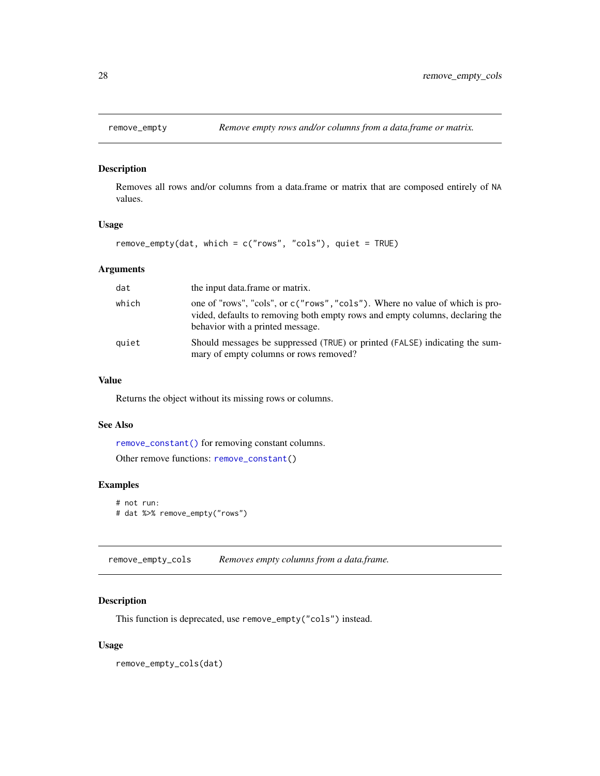<span id="page-27-2"></span><span id="page-27-0"></span>

Removes all rows and/or columns from a data.frame or matrix that are composed entirely of NA values.

#### Usage

```
remove_empty(dat, which = c("rows", "cols"), quiet = TRUE)
```
## Arguments

| dat   | the input data frame or matrix.                                                                                                                                                                  |
|-------|--------------------------------------------------------------------------------------------------------------------------------------------------------------------------------------------------|
| which | one of "rows", "cols", or c("rows", "cols"). Where no value of which is pro-<br>vided, defaults to removing both empty rows and empty columns, declaring the<br>behavior with a printed message. |
| quiet | Should messages be suppressed (TRUE) or printed (FALSE) indicating the sum-<br>mary of empty columns or rows removed?                                                                            |

#### Value

Returns the object without its missing rows or columns.

#### See Also

[remove\\_constant\(\)](#page-26-1) for removing constant columns.

Other remove functions: [remove\\_constant\(](#page-26-1))

## Examples

```
# not run:
# dat %>% remove_empty("rows")
```
<span id="page-27-1"></span>remove\_empty\_cols *Removes empty columns from a data.frame.*

## Description

This function is deprecated, use remove\_empty("cols") instead.

## Usage

remove\_empty\_cols(dat)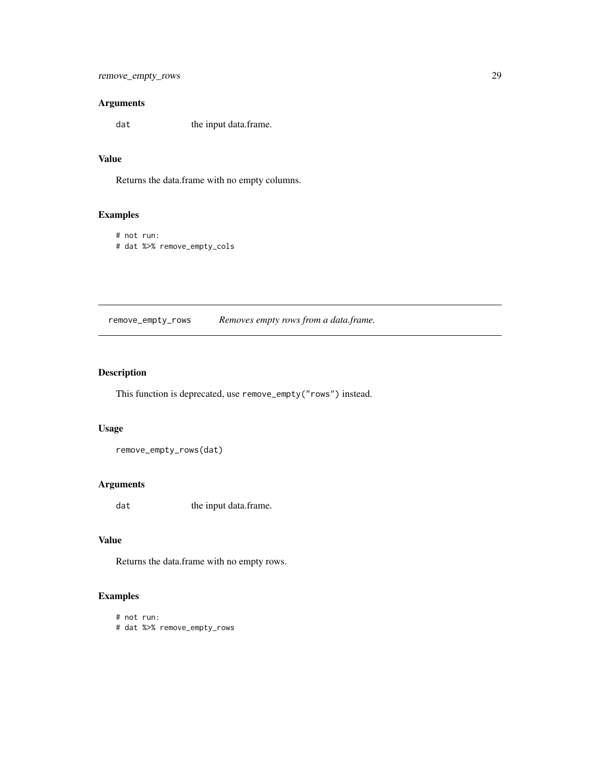```
remove_empty_rows 29
```
## Arguments

dat the input data.frame.

## Value

Returns the data.frame with no empty columns.

## Examples

```
# not run:
# dat %>% remove_empty_cols
```
<span id="page-28-1"></span>remove\_empty\_rows *Removes empty rows from a data.frame.*

## Description

This function is deprecated, use remove\_empty("rows") instead.

#### Usage

remove\_empty\_rows(dat)

## Arguments

dat the input data.frame.

## Value

Returns the data.frame with no empty rows.

```
# not run:
# dat %>% remove_empty_rows
```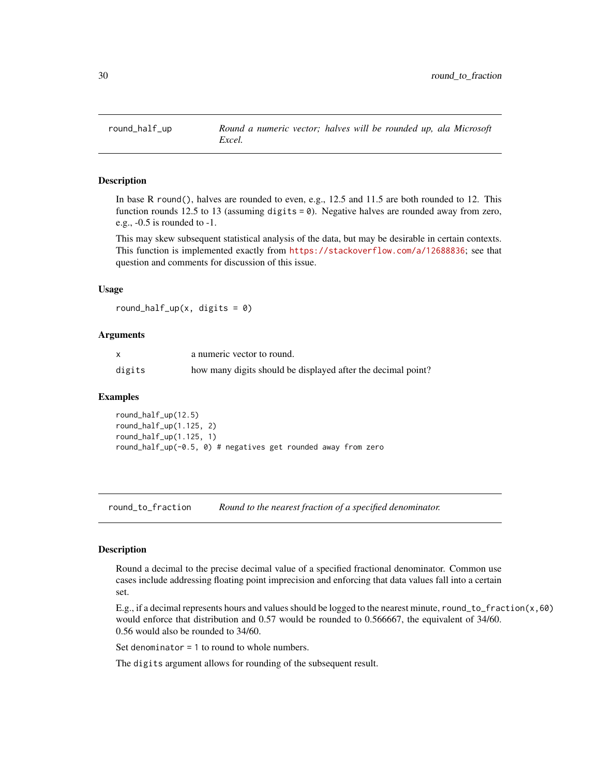<span id="page-29-0"></span>

In base R round(), halves are rounded to even, e.g., 12.5 and 11.5 are both rounded to 12. This function rounds 12.5 to 13 (assuming digits = 0). Negative halves are rounded away from zero, e.g., -0.5 is rounded to -1.

This may skew subsequent statistical analysis of the data, but may be desirable in certain contexts. This function is implemented exactly from <https://stackoverflow.com/a/12688836>; see that question and comments for discussion of this issue.

#### Usage

round\_half\_up(x, digits =  $0$ )

#### Arguments

|        | a numeric vector to round.                                   |
|--------|--------------------------------------------------------------|
| digits | how many digits should be displayed after the decimal point? |

#### Examples

round\_half\_up(12.5) round\_half\_up(1.125, 2) round\_half\_up(1.125, 1) round\_half\_up(-0.5, 0) # negatives get rounded away from zero

round\_to\_fraction *Round to the nearest fraction of a specified denominator.*

#### Description

Round a decimal to the precise decimal value of a specified fractional denominator. Common use cases include addressing floating point imprecision and enforcing that data values fall into a certain set.

E.g., if a decimal represents hours and values should be logged to the nearest minute, round\_to\_fraction(x,60) would enforce that distribution and 0.57 would be rounded to 0.566667, the equivalent of 34/60. 0.56 would also be rounded to 34/60.

Set denominator = 1 to round to whole numbers.

The digits argument allows for rounding of the subsequent result.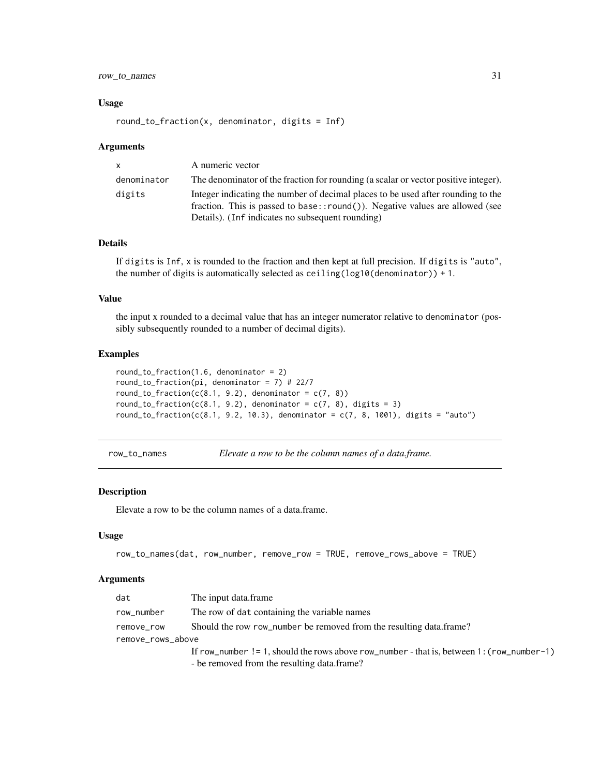## <span id="page-30-0"></span>row\_to\_names 31

#### Usage

round\_to\_fraction(x, denominator, digits =  $Inf$ )

#### Arguments

| $\mathsf{x}$ | A numeric vector                                                                                                                                                                                                         |
|--------------|--------------------------------------------------------------------------------------------------------------------------------------------------------------------------------------------------------------------------|
| denominator  | The denominator of the fraction for rounding (a scalar or vector positive integer).                                                                                                                                      |
| digits       | Integer indicating the number of decimal places to be used after rounding to the<br>fraction. This is passed to base:: $round()$ ). Negative values are allowed (see<br>Details). (Inf indicates no subsequent rounding) |

## Details

If digits is Inf, x is rounded to the fraction and then kept at full precision. If digits is "auto", the number of digits is automatically selected as ceiling(log10(denominator)) + 1.

#### Value

the input x rounded to a decimal value that has an integer numerator relative to denominator (possibly subsequently rounded to a number of decimal digits).

#### Examples

```
round_to_fraction(1.6, denominator = 2)
round_to_fraction(pi, denominator = 7) # 22/7
round_to_fraction(c(8.1, 9.2), denominator = c(7, 8))
round_to_fraction(c(8.1, 9.2), denominator = c(7, 8), digits = 3)
round_to_fraction(c(8.1, 9.2, 10.3), denominator = c(7, 8, 1001), digits = "auto")
```
row\_to\_names *Elevate a row to be the column names of a data.frame.*

#### Description

Elevate a row to be the column names of a data.frame.

#### Usage

```
row_to_names(dat, row_number, remove_row = TRUE, remove_rows_above = TRUE)
```
## Arguments

| dat               | The input data frame                                                                      |
|-------------------|-------------------------------------------------------------------------------------------|
| row_number        | The row of dat containing the variable names                                              |
| remove_row        | Should the row row_number be removed from the resulting data.frame?                       |
| remove_rows_above |                                                                                           |
|                   | If row_number != 1, should the rows above row_number - that is, between 1: (row_number-1) |
|                   | - be removed from the resulting data.frame?                                               |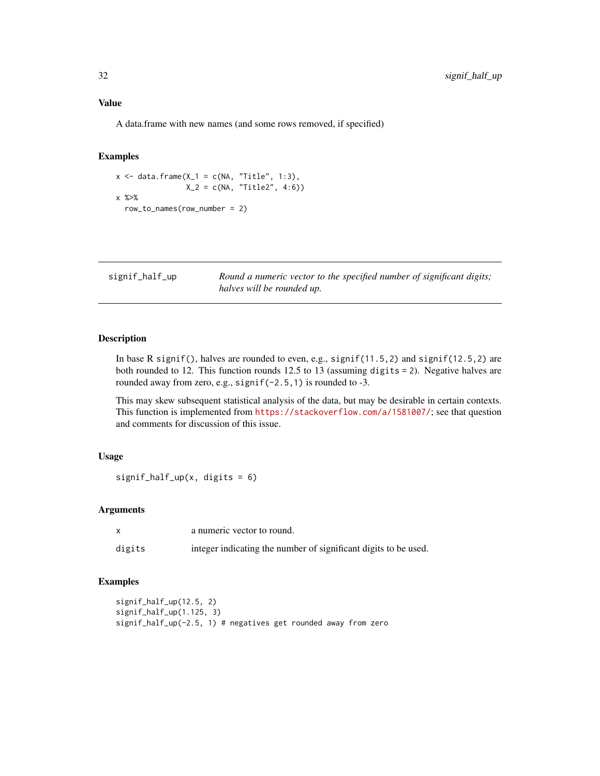## <span id="page-31-0"></span>Value

A data.frame with new names (and some rows removed, if specified)

## Examples

```
x \leftarrow \text{data-frame}(X_1 = c(NA, "Title", 1:3),X_2 = c(NA, 'Title2', 4:6)x %>%
  row_to_names(row_number = 2)
```
signif\_half\_up *Round a numeric vector to the specified number of significant digits; halves will be rounded up.*

## Description

In base R signif(), halves are rounded to even, e.g., signif(11.5,2) and signif(12.5,2) are both rounded to 12. This function rounds 12.5 to 13 (assuming digits = 2). Negative halves are rounded away from zero, e.g., signif(-2.5,1) is rounded to -3.

This may skew subsequent statistical analysis of the data, but may be desirable in certain contexts. This function is implemented from <https://stackoverflow.com/a/1581007/>; see that question and comments for discussion of this issue.

## Usage

 $signif\_half\_up(x, digits = 6)$ 

## Arguments

|        | a numeric vector to round.                                      |
|--------|-----------------------------------------------------------------|
| digits | integer indicating the number of significant digits to be used. |

```
signif_half_up(12.5, 2)
signif_half_up(1.125, 3)
signif_half_up(-2.5, 1) # negatives get rounded away from zero
```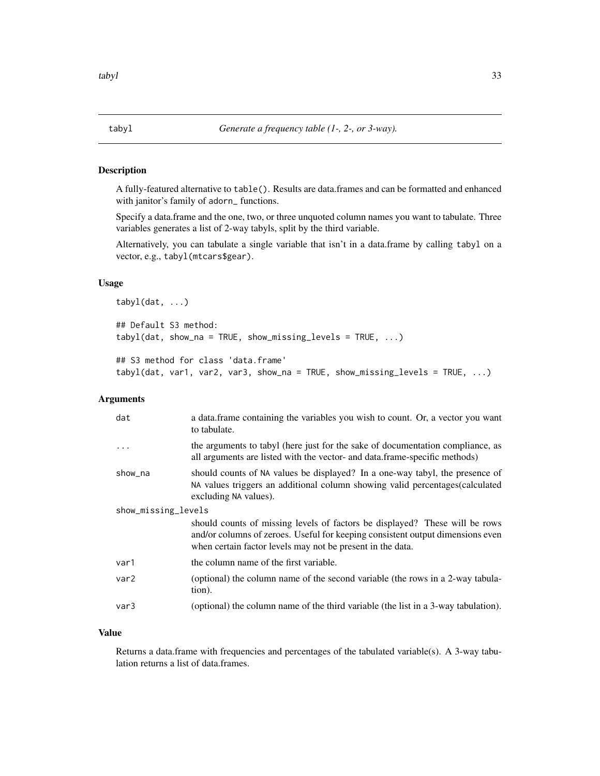<span id="page-32-0"></span>

A fully-featured alternative to table(). Results are data.frames and can be formatted and enhanced with janitor's family of adorn\_ functions.

Specify a data.frame and the one, two, or three unquoted column names you want to tabulate. Three variables generates a list of 2-way tabyls, split by the third variable.

Alternatively, you can tabulate a single variable that isn't in a data.frame by calling tabyl on a vector, e.g., tabyl(mtcars\$gear).

## Usage

```
tabyl(dat, ...)
## Default S3 method:
tabyl(data, show_na = TRUE, show_missing\_levels = TRUE, ...)## S3 method for class 'data.frame'
tabyl(dat, var1, var2, var3, show_na = TRUE, show_missing_levels = TRUE, ...)
```
## Arguments

| dat                 | a data.frame containing the variables you wish to count. Or, a vector you want<br>to tabulate.                                                                                                                              |  |
|---------------------|-----------------------------------------------------------------------------------------------------------------------------------------------------------------------------------------------------------------------------|--|
|                     | the arguments to tabyl (here just for the sake of documentation compliance, as<br>all arguments are listed with the vector- and data.frame-specific methods)                                                                |  |
| show_na             | should counts of NA values be displayed? In a one-way tabyl, the presence of<br>NA values triggers an additional column showing valid percentages (calculated<br>excluding NA values).                                      |  |
| show_missing_levels |                                                                                                                                                                                                                             |  |
|                     | should counts of missing levels of factors be displayed? These will be rows<br>and/or columns of zeroes. Useful for keeping consistent output dimensions even<br>when certain factor levels may not be present in the data. |  |
| var1                | the column name of the first variable.                                                                                                                                                                                      |  |
| var <sub>2</sub>    | (optional) the column name of the second variable (the rows in a 2-way tabula-<br>tion).                                                                                                                                    |  |
| var3                | (optional) the column name of the third variable (the list in a 3-way tabulation).                                                                                                                                          |  |

#### Value

Returns a data.frame with frequencies and percentages of the tabulated variable(s). A 3-way tabulation returns a list of data.frames.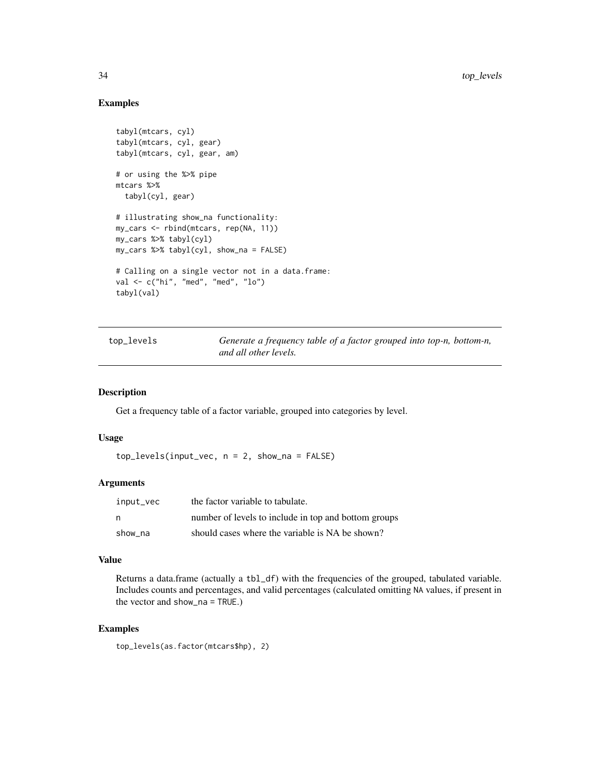## Examples

```
tabyl(mtcars, cyl)
tabyl(mtcars, cyl, gear)
tabyl(mtcars, cyl, gear, am)
# or using the %>% pipe
mtcars %>%
  tabyl(cyl, gear)
# illustrating show_na functionality:
my_cars <- rbind(mtcars, rep(NA, 11))
my_cars %>% tabyl(cyl)
my_cars %>% tabyl(cyl, show_na = FALSE)
# Calling on a single vector not in a data.frame:
val <- c("hi", "med", "med", "lo")
tabyl(val)
```

| top_levels |  |
|------------|--|
|------------|--|

Generate a frequency table of a factor grouped into top-n, bottom-n, *and all other levels.*

#### Description

Get a frequency table of a factor variable, grouped into categories by level.

## Usage

top\_levels(input\_vec, n = 2, show\_na = FALSE)

#### **Arguments**

| input_vec | the factor variable to tabulate.                     |
|-----------|------------------------------------------------------|
| n,        | number of levels to include in top and bottom groups |
| show na   | should cases where the variable is NA be shown?      |

## Value

Returns a data.frame (actually a tbl\_df) with the frequencies of the grouped, tabulated variable. Includes counts and percentages, and valid percentages (calculated omitting NA values, if present in the vector and show\_na = TRUE.)

```
top_levels(as.factor(mtcars$hp), 2)
```
<span id="page-33-0"></span>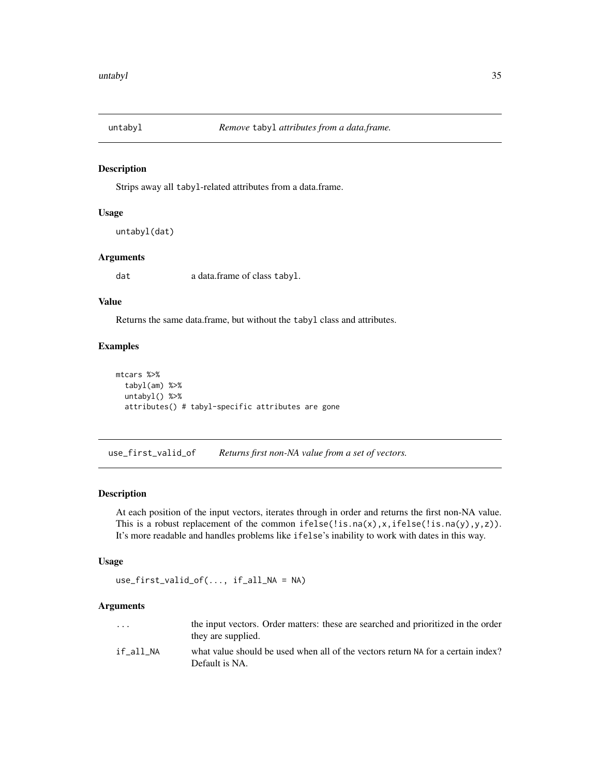<span id="page-34-0"></span>

Strips away all tabyl-related attributes from a data.frame.

#### Usage

```
untabyl(dat)
```
## Arguments

dat a data.frame of class tabyl.

## Value

Returns the same data.frame, but without the tabyl class and attributes.

#### Examples

```
mtcars %>%
  tabyl(am) %>%
  untabyl() %>%
  attributes() # tabyl-specific attributes are gone
```
<span id="page-34-1"></span>use\_first\_valid\_of *Returns first non-NA value from a set of vectors.*

#### Description

At each position of the input vectors, iterates through in order and returns the first non-NA value. This is a robust replacement of the common if else(!is.na(x),x,ifelse(!is.na(y),y,z)). It's more readable and handles problems like ifelse's inability to work with dates in this way.

## Usage

```
use_first_valid_of(..., if_all_NA = NA)
```
## Arguments

| $\cdots$  | the input vectors. Order matters: these are searched and prioritized in the order<br>they are supplied. |
|-----------|---------------------------------------------------------------------------------------------------------|
| if all NA | what value should be used when all of the vectors return NA for a certain index?<br>Default is NA.      |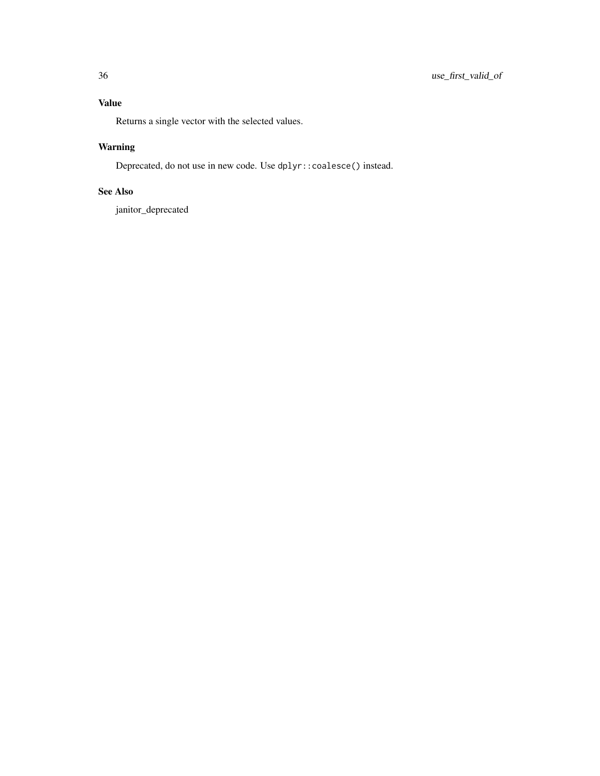## Value

Returns a single vector with the selected values.

## Warning

Deprecated, do not use in new code. Use dplyr::coalesce() instead.

## See Also

janitor\_deprecated